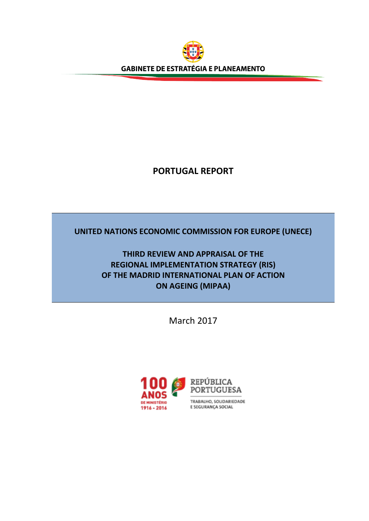

# **PORTUGAL REPORT**

# **UNITED NATIONS ECONOMIC COMMISSION FOR EUROPE (UNECE)**

# **THIRD REVIEW AND APPRAISAL OF THE REGIONAL IMPLEMENTATION STRATEGY (RIS) OF THE MADRID INTERNATIONAL PLAN OF ACTION ON AGEING (MIPAA)**

March 2017

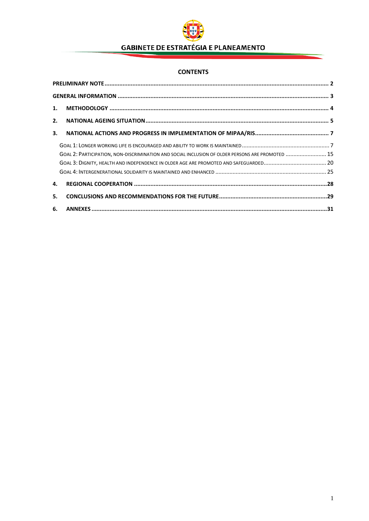

## **CONTENTS**

|    | 1.                                                                                               |  |
|----|--------------------------------------------------------------------------------------------------|--|
| 2. |                                                                                                  |  |
| 3. |                                                                                                  |  |
|    |                                                                                                  |  |
|    | GOAL 2: PARTICIPATION, NON-DISCRIMINATION AND SOCIAL INCLUSION OF OLDER PERSONS ARE PROMOTED  15 |  |
|    |                                                                                                  |  |
|    |                                                                                                  |  |
| 4. |                                                                                                  |  |
| 5. |                                                                                                  |  |
|    |                                                                                                  |  |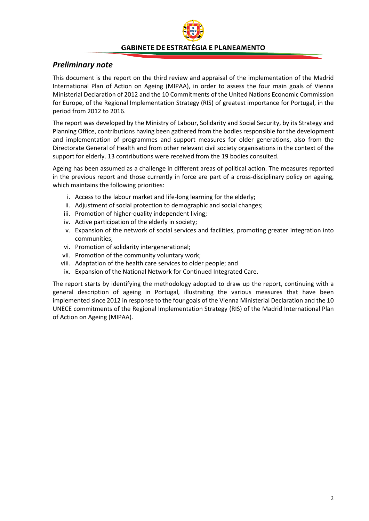## <span id="page-2-0"></span>*Preliminary note*

This document is the report on the third review and appraisal of the implementation of the Madrid International Plan of Action on Ageing (MIPAA), in order to assess the four main goals of Vienna Ministerial Declaration of 2012 and the 10 Commitments of the United Nations Economic Commission for Europe, of the Regional Implementation Strategy (RIS) of greatest importance for Portugal, in the period from 2012 to 2016.

The report was developed by the Ministry of Labour, Solidarity and Social Security, by its Strategy and Planning Office, contributions having been gathered from the bodies responsible for the development and implementation of programmes and support measures for older generations, also from the Directorate General of Health and from other relevant civil society organisations in the context of the support for elderly. 13 contributions were received from the 19 bodies consulted.

Ageing has been assumed as a challenge in different areas of political action. The measures reported in the previous report and those currently in force are part of a cross-disciplinary policy on ageing, which maintains the following priorities:

- i. Access to the labour market and life-long learning for the elderly;
- ii. Adjustment of social protection to demographic and social changes;
- iii. Promotion of higher-quality independent living;
- iv. Active participation of the elderly in society;
- v. Expansion of the network of social services and facilities, promoting greater integration into communities;
- vi. Promotion of solidarity intergenerational;
- vii. Promotion of the community voluntary work;
- viii. Adaptation of the health care services to older people; and
- ix. Expansion of the National Network for Continued Integrated Care.

The report starts by identifying the methodology adopted to draw up the report, continuing with a general description of ageing in Portugal, illustrating the various measures that have been implemented since 2012 in response to the four goals of the Vienna Ministerial Declaration and the 10 UNECE commitments of the Regional Implementation Strategy (RIS) of the Madrid International Plan of Action on Ageing (MIPAA).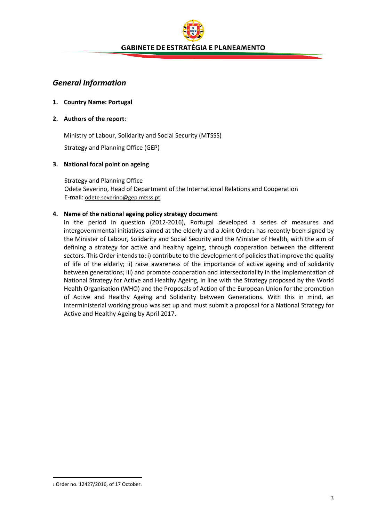## <span id="page-3-0"></span>*General Information*

#### **1. Country Name: Portugal**

#### **2. Authors of the report**:

Ministry of Labour, Solidarity and Social Security (MTSSS) Strategy and Planning Office (GEP)

#### **3. National focal point on ageing**

Strategy and Planning Office Odete Severino, Head of Department of the International Relations and Cooperation E-mail: [odete.severino@gep.mtsss.pt](mailto:odete.severino@gep.mtsss.pt)

#### **4. Name of the national ageing policy strategy document**

In the period in question (2012-2016), Portugal developed a series of measures and intergovernmental initiatives aimed at the elderly and a Joint Order<sub>1</sub> has recently been signed by the Minister of Labour, Solidarity and Social Security and the Minister of Health, with the aim of defining a strategy for active and healthy ageing, through cooperation between the different sectors. This Order intends to: i) contribute to the development of policies that improve the quality of life of the elderly; ii) raise awareness of the importance of active ageing and of solidarity between generations; iii) and promote cooperation and intersectoriality in the implementation of National Strategy for Active and Healthy Ageing, in line with the Strategy proposed by the World Health Organisation (WHO) and the Proposals of Action of the European Union for the promotion of Active and Healthy Ageing and Solidarity between Generations. With this in mind, an interministerial working group was set up and must submit a proposal for a National Strategy for Active and Healthy Ageing by April 2017.

 $\overline{a}$ 

<span id="page-3-1"></span><sup>1</sup> Order no. 12427/2016, of 17 October.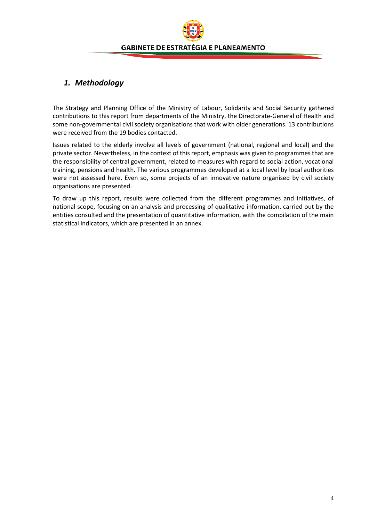## <span id="page-4-0"></span>*1. Methodology*

The Strategy and Planning Office of the Ministry of Labour, Solidarity and Social Security gathered contributions to this report from departments of the Ministry, the Directorate-General of Health and some non-governmental civil society organisations that work with older generations. 13 contributions were received from the 19 bodies contacted.

Issues related to the elderly involve all levels of government (national, regional and local) and the private sector. Nevertheless, in the context of this report, emphasis was given to programmes that are the responsibility of central government, related to measures with regard to social action, vocational training, pensions and health. The various programmes developed at a local level by local authorities were not assessed here. Even so, some projects of an innovative nature organised by civil society organisations are presented.

To draw up this report, results were collected from the different programmes and initiatives, of national scope, focusing on an analysis and processing of qualitative information, carried out by the entities consulted and the presentation of quantitative information, with the compilation of the main statistical indicators, which are presented in an annex.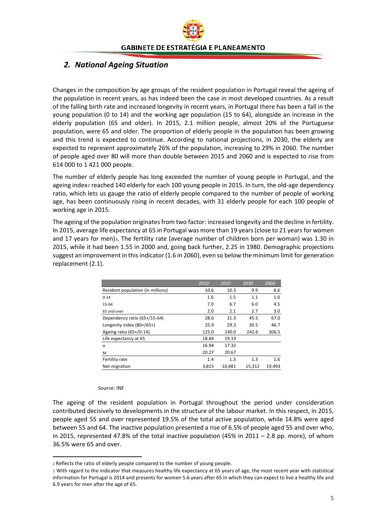# <span id="page-5-0"></span>*2. National Ageing Situation*

Changes in the composition by age groups of the resident population in Portugal reveal the ageing of the population in recent years, as has indeed been the case in most developed countries. As a result of the falling birth rate and increased longevity in recent years, in Portugal there has been a fall in the young population (0 to 14) and the working age population (15 to 64), alongside an increase in the elderly population (65 and older). In 2015, 2.1 million people, almost 20% of the Portuguese population, were 65 and older. The proportion of elderly people in the population has been growing and this trend is expected to continue. According to national projections, in 2030, the elderly are expected to represent approximately 26% of the population, increasing to 29% in 2060. The number of people aged over 80 will more than double between 2015 and 2060 and is expected to rise from 614 000 to 1 421 000 people.

The number of elderly people has long exceeded the number of young people in Portugal, and the ageing index<sub>[2](#page-5-1)</sub> reached 140 elderly for each 100 young people in 2015. In turn, the old-age dependency ratio, which lets us gauge the ratio of elderly people compared to the number of people of working age, has been continuously rising in recent decades, with 31 elderly people for each 100 people of working age in 2015.

The ageing of the population originates from two factor: increased longevity and the decline in fertility. In 2015, average life expectancy at 65 in Portugal was more than 19 years (close to 21 years for women and 17 years for men)[3.](#page-5-2) The fertility rate (average number of children born per woman) was 1.30 in 2015, while it had been 1.55 in 2000 and, going back further, 2.25 in 1980. Demographic projections suggest an improvement in this indicator (1.6 in 2060), even so below the minimum limit for generation replacement (2.1).

|                                   | 2010  | 2015      | 2030   | 2060   |
|-----------------------------------|-------|-----------|--------|--------|
| Resident population (in millions) | 10.6  | 10.3      | 9.9    | 8.6    |
| $0 - 14$                          | 1.6   | 1.5       | 1.1    | 1.0    |
| 15-64                             | 7.0   | 6.7       | 6.0    | 4.5    |
| 65 and over                       | 2.0   | 2.1       | 2.7    | 3.0    |
| Dependency ratio (65+/15-64)      | 28.6  | 31.3      | 45.5   | 67.0   |
| Longevity index (80+/65+)         | 25.9  | 29.3      | 30.5   | 46.7   |
| Ageing ratio (65+/0-14)           | 125.0 | 140.0     | 242.6  | 306.5  |
| Life expectancy at 65             | 18.84 | 19.19     |        |        |
| H                                 | 16.94 | 17.32     |        |        |
| M                                 | 20.27 | 20.67     |        |        |
| Fertility rate                    | 1.4   | 1.3       | 1.3    | 1.6    |
| Net migration                     | 3,815 | $-10,481$ | 15,312 | 19,493 |

#### Source: INE

 $\overline{a}$ 

The ageing of the resident population in Portugal throughout the period under consideration contributed decisively to developments in the structure of the labour market. In this respect, in 2015, people aged 55 and over represented 19.5% of the total active population, while 14.8% were aged between 55 and 64. The inactive population presented a rise of 6.5% of people aged 55 and over who, in 2015, represented 47.8% of the total inactive population (45% in  $2011 - 2.8$  pp. more), of whom 36.5% were 65 and over.

<span id="page-5-1"></span><sup>2</sup> Reflects the ratio of elderly people compared to the number of young people.

<span id="page-5-2"></span><sup>3</sup> With regard to the indicator that measures healthy life expectancy at 65 years of age, the most recent year with statistical information for Portugal is 2014 and presents for women 5.6 years after 65 in which they can expect to live a healthy life and 6.9 years for men after the age of 65.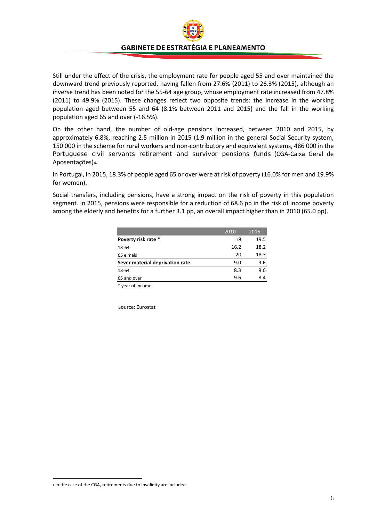

Still under the effect of the crisis, the employment rate for people aged 55 and over maintained the downward trend previously reported, having fallen from 27.6% (2011) to 26.3% (2015), although an inverse trend has been noted for the 55-64 age group, whose employment rate increased from 47.8% (2011) to 49.9% (2015). These changes reflect two opposite trends: the increase in the working population aged between 55 and 64 (8.1% between 2011 and 2015) and the fall in the working population aged 65 and over (-16.5%).

On the other hand, the number of old-age pensions increased, between 2010 and 2015, by approximately 6.8%, reaching 2.5 million in 2015 (1.9 million in the general Social Security system, 150 000 in the scheme for rural workers and non-contributory and equivalent systems, 486 000 in the Portuguese civil servants retirement and survivor pensions funds (CGA-Caixa Geral de Aposentações)[4](#page-6-0)**.**

In Portugal, in 2015, 18.3% of people aged 65 or over were at risk of poverty (16.0% for men and 19.9% for women).

Social transfers, including pensions, have a strong impact on the risk of poverty in this population segment. In 2015, pensions were responsible for a reduction of 68.6 pp in the risk of income poverty among the elderly and benefits for a further 3.1 pp, an overall impact higher than in 2010 (65.0 pp).

|                                 | 2010 | 2015 |
|---------------------------------|------|------|
| Poverty risk rate *             | 18   | 19.5 |
| 18-64                           | 16.2 | 18.2 |
| 65 e mais                       | 20   | 18.3 |
| Sever material deprivation rate | 9.0  | 9.6  |
| 18-64                           | 8.3  | 9.6  |
| 65 and over                     | 9.6  | 8.4  |

\* year of income

Source: Eurostat

<span id="page-6-0"></span> <sup>4</sup> In the case of the CGA, retirements due to invalidity are included.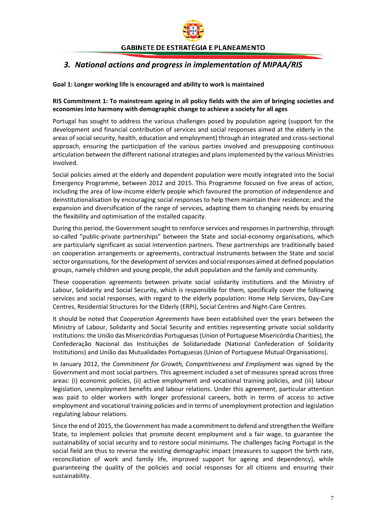# <span id="page-7-0"></span>*3. National actions and progress in implementation of MIPAA/RIS*

### <span id="page-7-1"></span>**Goal 1: Longer working life is encouraged and ability to work is maintained**

#### **RIS Commitment 1: To mainstream ageing in all policy fields with the aim of bringing societies and economies into harmony with demographic change to achieve a society for all ages**

Portugal has sought to address the various challenges posed by population ageing (support for the development and financial contribution of services and social responses aimed at the elderly in the areas of social security, health, education and employment) through an integrated and cross-sectional approach, ensuring the participation of the various parties involved and presupposing continuous articulation between the different national strategies and plans implemented by the various Ministries involved.

Social policies aimed at the elderly and dependent population were mostly integrated into the Social Emergency Programme, between 2012 and 2015. This Programme focused on five areas of action, including the area of low-income elderly people which favoured the promotion of independence and deinstitutionalisation by encouraging social responses to help them maintain their residence; and the expansion and diversification of the range of services, adapting them to changing needs by ensuring the flexibility and optimisation of the installed capacity.

During this period, the Government sought to reinforce services and responses in partnership, through so-called "public-private partnerships" between the State and social-economy organisations, which are particularly significant as social intervention partners. These partnerships are traditionally based on cooperation arrangements or agreements, contractual instruments between the State and social sector organisations, for the development of services and social responses aimed at defined population groups, namely children and young people, the adult population and the family and community.

These cooperation agreements between private social solidarity institutions and the Ministry of Labour, Solidarity and Social Security, which is responsible for them, specifically cover the following services and social responses, with regard to the elderly population: Home Help Services, Day-Care Centres, Residential Structures for the Elderly (ERPI), Social Centres and Night-Care Centres.

It should be noted that *Cooperation Agreements* have been established over the years between the Ministry of Labour, Solidarity and Social Security and entities representing private social solidarity institutions: the União das Misericórdias Portuguesas (Union of Portuguese Misericórdia Charities), the Confederação Nacional das Instituições de Solidariedade (National Confederation of Solidarity Institutions) and União das Mutualidades Portuguesas (Union of Portuguese Mutual Organisations).

In January 2012, the *Commitment for Growth, Competitiveness and Employment* was signed by the Government and most social partners. This agreement included a set of measures spread across three areas: (i) economic policies, (ii) active employment and vocational training policies, and (iii) labour legislation, unemployment benefits and labour relations. Under this agreement, particular attention was paid to older workers with longer professional careers, both in terms of access to active employment and vocational training policies and in terms of unemployment protection and legislation regulating labour relations.

Since the end of 2015, the Government has made a commitment to defend and strengthen the Welfare State, to implement policies that promote decent employment and a fair wage, to guarantee the sustainability of social security and to restore social minimums. The challenges facing Portugal in the social field are thus to reverse the existing demographic impact (measures to support the birth rate, reconciliation of work and family life, improved support for ageing and dependency), while guaranteeing the quality of the policies and social responses for all citizens and ensuring their sustainability.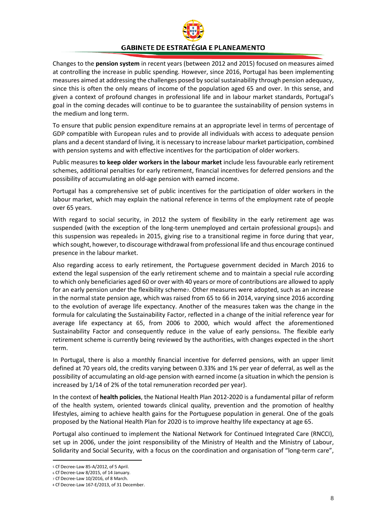

Changes to the **pension system** in recent years (between 2012 and 2015) focused on measures aimed at controlling the increase in public spending. However, since 2016, Portugal has been implementing measures aimed at addressing the challenges posed by social sustainability through pension adequacy, since this is often the only means of income of the population aged 65 and over. In this sense, and given a context of profound changes in professional life and in labour market standards, Portugal's goal in the coming decades will continue to be to guarantee the sustainability of pension systems in the medium and long term.

To ensure that public pension expenditure remains at an appropriate level in terms of percentage of GDP compatible with European rules and to provide all individuals with access to adequate pension plans and a decent standard of living, it is necessary to increase labour market participation, combined with pension systems and with effective incentives for the participation of older workers.

Public measures **to keep older workers in the labour market** include less favourable early retirement schemes, additional penalties for early retirement, financial incentives for deferred pensions and the possibility of accumulating an old-age pension with earned income.

Portugal has a comprehensive set of public incentives for the participation of older workers in the labour market, which may explain the national reference in terms of the employment rate of people over 65 years.

With regard to social security, in 2012 the system of flexibility in the early retirement age was suspended (with the exception of the long-term unemployed and certain professional groups)s and this suspension was repealed $6$  in 2015, giving rise to a transitional regime in force during that year, which sought, however, to discourage withdrawal from professional life and thus encourage continued presence in the labour market.

Also regarding access to early retirement, the Portuguese government decided in March 2016 to extend the legal suspension of the early retirement scheme and to maintain a special rule according to which only beneficiaries aged 60 or over with 40 years or more of contributions are allowed to apply for an early pension under the flexibility schemez. Other measures were adopted, such as an increase in the normal state pension age, which was raised from 65 to 66 in 2014, varying since 2016 according to the evolution of average life expectancy. Another of the measures taken was the change in the formula for calculating the Sustainability Factor, reflected in a change of the initial reference year for average life expectancy at 65, from 2006 to 2000, which would affect the aforementioned Sustainability Factor and consequently reduce in the value of early pensionss. The flexible early retirement scheme is currently being reviewed by the authorities, with changes expected in the short term.

In Portugal, there is also a monthly financial incentive for deferred pensions, with an upper limit defined at 70 years old, the credits varying between 0.33% and 1% per year of deferral, as well as the possibility of accumulating an old-age pension with earned income (a situation in which the pension is increased by 1/14 of 2% of the total remuneration recorded per year).

In the context of **health policies**, the National Health Plan 2012-2020 is a fundamental pillar of reform of the health system, oriented towards clinical quality, prevention and the promotion of healthy lifestyles, aiming to achieve health gains for the Portuguese population in general. One of the goals proposed by the National Health Plan for 2020 is to improve healthy life expectancy at age 65.

Portugal also continued to implement the National Network for Continued Integrated Care (RNCCI), set up in 2006, under the joint responsibility of the Ministry of Health and the Ministry of Labour, Solidarity and Social Security, with a focus on the coordination and organisation of "long-term care",

<span id="page-8-0"></span> <sup>5</sup> Cf Decree-Law 85-A/2012, of 5 April.

<span id="page-8-1"></span><sup>6</sup> Cf Decree-Law 8/2015, of 14 January.

<span id="page-8-2"></span><sup>7</sup> Cf Decree-Law 10/2016, of 8 March.

<span id="page-8-3"></span><sup>8</sup> Cf Decree-Law 167-E/2013, of 31 December.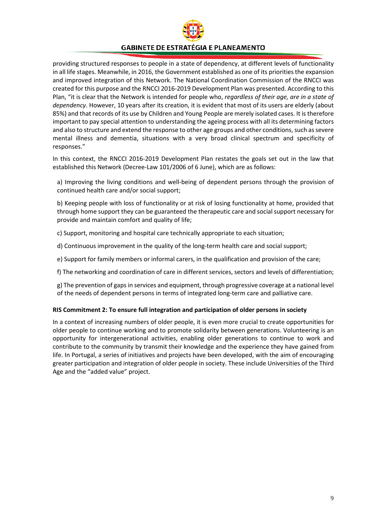

providing structured responses to people in a state of dependency, at different levels of functionality in all life stages. Meanwhile, in 2016, the Government established as one of its priorities the expansion and improved integration of this Network. The National Coordination Commission of the RNCCI was created for this purpose and the RNCCI 2016-2019 Development Plan was presented. According to this Plan, "it is clear that the Network is intended for people who, *regardless of their age, are in a state of dependency*. However, 10 years after its creation, it is evident that most of its users are elderly (about 85%) and that records of its use by Children and Young People are merely isolated cases. It is therefore important to pay special attention to understanding the ageing process with all its determining factors and also to structure and extend the response to other age groups and other conditions, such as severe mental illness and dementia, situations with a very broad clinical spectrum and specificity of responses."

In this context, the RNCCI 2016-2019 Development Plan restates the goals set out in the law that established this Network (Decree-Law 101/2006 of 6 June), which are as follows:

a) Improving the living conditions and well-being of dependent persons through the provision of continued health care and/or social support;

b) Keeping people with loss of functionality or at risk of losing functionality at home, provided that through home support they can be guaranteed the therapeutic care and social support necessary for provide and maintain comfort and quality of life;

c) Support, monitoring and hospital care technically appropriate to each situation;

- d) Continuous improvement in the quality of the long-term health care and social support;
- e) Support for family members or informal carers, in the qualification and provision of the care;
- f) The networking and coordination of care in different services, sectors and levels of differentiation;

g) The prevention of gaps in services and equipment, through progressive coverage at a national level of the needs of dependent persons in terms of integrated long-term care and palliative care.

#### **RIS Commitment 2: To ensure full integration and participation of older persons in society**

In a context of increasing numbers of older people, it is even more crucial to create opportunities for older people to continue working and to promote solidarity between generations. Volunteering is an opportunity for intergenerational activities, enabling older generations to continue to work and contribute to the community by transmit their knowledge and the experience they have gained from life. In Portugal, a series of initiatives and projects have been developed, with the aim of encouraging greater participation and integration of older people in society. These include Universities of the Third Age and the "added value" project.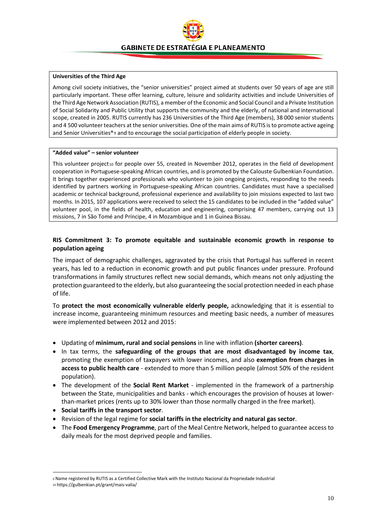#### **Universities of the Third Age**

Among civil society initiatives, the "senior universities" project aimed at students over 50 years of age are still particularly important. These offer learning, culture, leisure and solidarity activities and include Universities of the Third Age Network Association (RUTIS), a member ofthe Economic and Social Council and a Private Institution of Social Solidarity and Public Utility that supports the community and the elderly, of national and international scope, created in 2005. RUTIS currently has 236 Universities of the Third Age (members), 38 000 senior students and 4 500 volunteer teachers at the senior universities. One of the main aims of RUTIS isto promote active ageing and Senior Universities®[9](#page-10-0) and to encourage the social participation of elderly people in society.

#### **"Added value" – senior volunteer**

This volunteer project[10](#page-10-1) for people over 55, created in November 2012, operates in the field of development cooperation in Portuguese-speaking African countries, and is promoted by the Calouste Gulbenkian Foundation. It brings together experienced professionals who volunteer to join ongoing projects, responding to the needs identified by partners working in Portuguese-speaking African countries. Candidates must have a specialised academic or technical background, professional experience and availability to join missions expected to last two months. In 2015, 107 applications were received to select the 15 candidates to be included in the "added value" volunteer pool, in the fields of health, education and engineering, comprising 47 members, carrying out 13 missions, 7 in São Tomé and Príncipe, 4 in Mozambique and 1 in Guinea Bissau.

#### **RIS Commitment 3: To promote equitable and sustainable economic growth in response to population ageing**

The impact of demographic challenges, aggravated by the crisis that Portugal has suffered in recent years, has led to a reduction in economic growth and put public finances under pressure. Profound transformations in family structures reflect new social demands, which means not only adjusting the protection guaranteed to the elderly, but also guaranteeing the social protection needed in each phase of life.

To **protect the most economically vulnerable elderly people,** acknowledging that it is essential to increase income, guaranteeing minimum resources and meeting basic needs, a number of measures were implemented between 2012 and 2015:

- Updating of **minimum, rural and social pensions** in line with inflation **(shorter careers)**.
- In tax terms, the **safeguarding of the groups that are most disadvantaged by income tax**, promoting the exemption of taxpayers with lower incomes, and also **exemption from charges in access to public health care** - extended to more than 5 million people (almost 50% of the resident population).
- The development of the **Social Rent Market** implemented in the framework of a partnership between the State, municipalities and banks - which encourages the provision of houses at lowerthan-market prices (rents up to 30% lower than those normally charged in the free market).
- **Social tariffs in the transport sector**.
- Revision of the legal regime for **social tariffs in the electricity and natural gas sector**.
- The **Food Emergency Programme**, part of the Meal Centre Network, helped to guarantee access to daily meals for the most deprived people and families.

<span id="page-10-1"></span><span id="page-10-0"></span> <sup>9</sup> Name registered by RUTIS as a Certified Collective Mark with the Instituto Nacional da Propriedade Industrial <sup>10</sup> https://gulbenkian.pt/grant/mais-valia/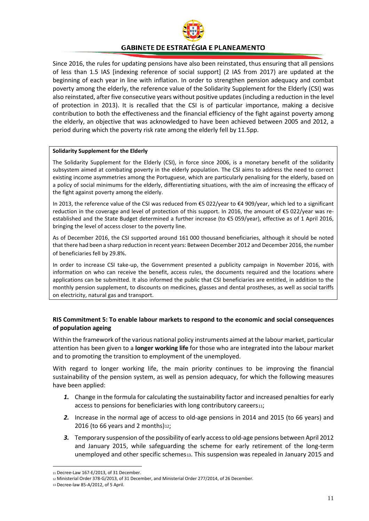

Since 2016, the rules for updating pensions have also been reinstated, thus ensuring that all pensions of less than 1.5 IAS [indexing reference of social support] (2 IAS from 2017) are updated at the beginning of each year in line with inflation. In order to strengthen pension adequacy and combat poverty among the elderly, the reference value of the Solidarity Supplement for the Elderly (CSI) was also reinstated, after five consecutive years without positive updates (including a reduction in the level of protection in 2013). It is recalled that the CSI is of particular importance, making a decisive contribution to both the effectiveness and the financial efficiency of the fight against poverty among the elderly, an objective that was acknowledged to have been achieved between 2005 and 2012, a period during which the poverty risk rate among the elderly fell by 11.5pp.

#### **Solidarity Supplement for the Elderly**

The Solidarity Supplement for the Elderly (CSI), in force since 2006, is a monetary benefit of the solidarity subsystem aimed at combating poverty in the elderly population. The CSI aims to address the need to correct existing income asymmetries among the Portuguese, which are particularly penalising for the elderly, based on a policy of social minimums for the elderly, differentiating situations, with the aim of increasing the efficacy of the fight against poverty among the elderly.

In 2013, the reference value of the CSI was reduced from €5 022/year to €4 909/year, which led to a significant reduction in the coverage and level of protection of this support. In 2016, the amount of €5 022/year was reestablished and the State Budget determined a further increase (to €5 059/year), effective as of 1 April 2016, bringing the level of access closer to the poverty line.

As of December 2016, the CSI supported around 161 000 thousand beneficiaries, although it should be noted that there had been a sharp reduction in recent years: Between December 2012 and December 2016, the number of beneficiaries fell by 29.8%.

In order to increase CSI take-up, the Government presented a publicity campaign in November 2016, with information on who can receive the benefit, access rules, the documents required and the locations where applications can be submitted. It also informed the public that CSI beneficiaries are entitled, in addition to the monthly pension supplement, to discounts on medicines, glasses and dental prostheses, as well as social tariffs on electricity, natural gas and transport.

#### **RIS Commitment 5: To enable labour markets to respond to the economic and social consequences of population ageing**

Within the framework of the various national policy instruments aimed at the labour market, particular attention has been given to a **longer working life** for those who are integrated into the labour market and to promoting the transition to employment of the unemployed.

With regard to longer working life, the main priority continues to be improving the financial sustainability of the pension system, as well as pension adequacy, for which the following measures have been applied:

- *1.* Change in the formula for calculating the sustainability factor and increased penalties for early access to pensions for beneficiaries with long contributory careers[11;](#page-11-0)
- *2.* Increase in the normal age of access to old-age pensions in 2014 and 2015 (to 66 years) and 2016 (to 66 years and 2 months) $12$ ;
- *3.* Temporary suspension of the possibility of early access to old-age pensions between April 2012 and January 2015, while safeguarding the scheme for early retirement of the long-term unemployed and other specific schemes[13](#page-11-2). This suspension was repealed in January 2015 and

<span id="page-11-0"></span> <sup>11</sup> Decree-Law 167-E/2013, of 31 December.

<sup>12</sup> Ministerial Order 378-G/2013, of 31 December, and Ministerial Order 277/2014, of 26 December.

<span id="page-11-2"></span><span id="page-11-1"></span><sup>13</sup> Decree-law 85-A/2012, of 5 April.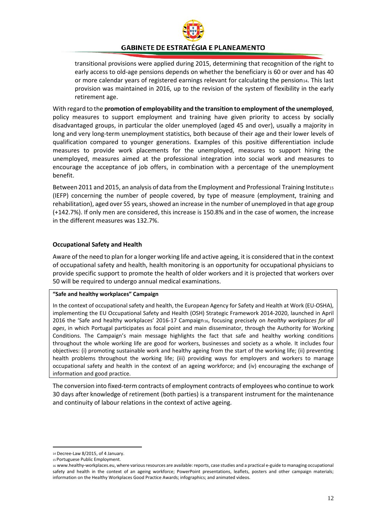

transitional provisions were applied during 2015, determining that recognition of the right to early access to old-age pensions depends on whether the beneficiary is 60 or over and has 40 or more calendar years of registered earnings relevant for calculating the pension<sub>[14](#page-12-0)</sub>. This last provision was maintained in 2016, up to the revision of the system of flexibility in the early retirement age.

With regard to the **promotion of employability and the transition to employment of the unemployed**, policy measures to support employment and training have given priority to access by socially disadvantaged groups, in particular the older unemployed (aged 45 and over), usually a majority in long and very long-term unemployment statistics, both because of their age and their lower levels of qualification compared to younger generations. Examples of this positive differentiation include measures to provide work placements for the unemployed, measures to support hiring the unemployed, measures aimed at the professional integration into social work and measures to encourage the acceptance of job offers, in combination with a percentage of the unemployment benefit.

Between 2011 and 20[15](#page-12-1), an analysis of data from the Employment and Professional Training Institute15 (IEFP) concerning the number of people covered, by type of measure (employment, training and rehabilitation), aged over 55 years, showed an increase in the number of unemployed in that age group (+142.7%). If only men are considered, this increase is 150.8% and in the case of women, the increase in the different measures was 132.7%.

#### **Occupational Safety and Health**

Aware of the need to plan for a longer working life and active ageing, it is considered that in the context of occupational safety and health, health monitoring is an opportunity for occupational physicians to provide specific support to promote the health of older workers and it is projected that workers over 50 will be required to undergo annual medical examinations.

#### **"Safe and healthy workplaces" Campaign**

In the context of occupational safety and health, the European Agency for Safety and Health at Work (EU-OSHA), implementing the EU Occupational Safety and Health (OSH) Strategic Framework 2014-2020, launched in April 20[16](#page-12-2) the 'Safe and healthy workplaces' 2016-17 Campaign16, focusing precisely on *healthy workplaces for all ages*, in which Portugal participates as focal point and main disseminator, through the Authority for Working Conditions. The Campaign's main message highlights the fact that safe and healthy working conditions throughout the whole working life are good for workers, businesses and society as a whole. It includes four objectives: (i) promoting sustainable work and healthy ageing from the start of the working life; (ii) preventing health problems throughout the working life; (iii) providing ways for employers and workers to manage occupational safety and health in the context of an ageing workforce; and (iv) encouraging the exchange of information and good practice.

The conversion into fixed-term contracts of employment contracts of employees who continue to work 30 days after knowledge of retirement (both parties) is a transparent instrument for the maintenance and continuity of labour relations in the context of active ageing.

<span id="page-12-0"></span> <sup>14</sup> Decree-Law 8/2015, of 4 January.

<sup>15</sup> Portuguese Public Employment.

<span id="page-12-2"></span><span id="page-12-1"></span><sup>16</sup> [www.healthy-workplaces.eu,](http://www.healthy-workplaces.eu/) where various resources are available: reports, case studies and a practical e-guide to managing occupational safety and health in the context of an ageing workforce; PowerPoint presentations, leaflets, posters and other campaign materials; information on the Healthy Workplaces Good Practice Awards; infographics; and animated videos.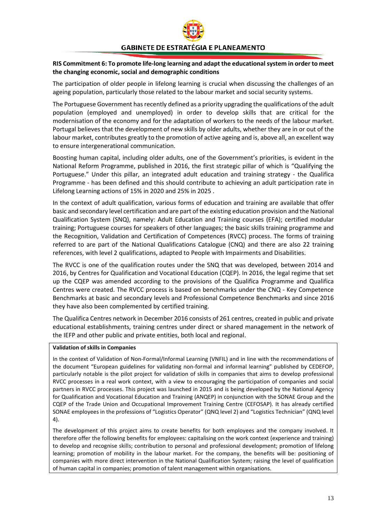

#### **RIS Commitment 6: To promote life-long learning and adapt the educational system in order to meet the changing economic, social and demographic conditions**

The participation of older people in lifelong learning is crucial when discussing the challenges of an ageing population, particularly those related to the labour market and social security systems.

The Portuguese Government has recently defined as a priority upgrading the qualifications of the adult population (employed and unemployed) in order to develop skills that are critical for the modernisation of the economy and for the adaptation of workers to the needs of the labour market. Portugal believes that the development of new skills by older adults, whether they are in or out of the labour market, contributes greatly to the promotion of active ageing and is, above all, an excellent way to ensure intergenerational communication.

Boosting human capital, including older adults, one of the Government's priorities, is evident in the National Reform Programme, published in 2016, the first strategic pillar of which is "Qualifying the Portuguese." Under this pillar, an integrated adult education and training strategy - the Qualifica Programme - has been defined and this should contribute to achieving an adult participation rate in Lifelong Learning actions of 15% in 2020 and 25% in 2025 .

In the context of adult qualification, various forms of education and training are available that offer basic and secondary level certification and are part of the existing education provision and the National Qualification System (SNQ), namely: Adult Education and Training courses (EFA); certified modular training; Portuguese courses for speakers of other languages; the basic skills training programme and the Recognition, Validation and Certification of Competences (RVCC) process. The forms of training referred to are part of the National Qualifications Catalogue (CNQ) and there are also 22 training references, with level 2 qualifications, adapted to People with Impairments and Disabilities.

The RVCC is one of the qualification routes under the SNQ that was developed, between 2014 and 2016, by Centres for Qualification and Vocational Education (CQEP). In 2016, the legal regime that set up the CQEP was amended according to the provisions of the Qualifica Programme and Qualifica Centres were created. The RVCC process is based on benchmarks under the CNQ - Key Competence Benchmarks at basic and secondary levels and Professional Competence Benchmarks and since 2016 they have also been complemented by certified training.

The Qualifica Centres network in December 2016 consists of 261 centres, created in public and private educational establishments, training centres under direct or shared management in the network of the IEFP and other public and private entities, both local and regional.

#### **Validation of skills in Companies**

In the context of Validation of Non-Formal/Informal Learning (VNFIL) and in line with the recommendations of the document "European guidelines for validating non-formal and informal learning" published by CEDEFOP, particularly notable is the pilot project for validation of skills in companies that aims to develop professional RVCC processes in a real work context, with a view to encouraging the participation of companies and social partners in RVCC processes. This project was launched in 2015 and is being developed by the National Agency for Qualification and Vocational Education and Training (ANQEP) in conjunction with the SONAE Group and the CQEP of the Trade Union and Occupational Improvement Training Centre (CEFOSAP). It has already certified SONAE employees in the professions of "Logistics Operator" (QNQ level 2) and "Logistics Technician" (QNQ level 4).

The development of this project aims to create benefits for both employees and the company involved. It therefore offer the following benefits for employees: capitalising on the work context (experience and training) to develop and recognise skills; contribution to personal and professional development; promotion of lifelong learning; promotion of mobility in the labour market. For the company, the benefits will be: positioning of companies with more direct intervention in the National Qualification System; raising the level of qualification of human capital in companies; promotion of talent management within organisations.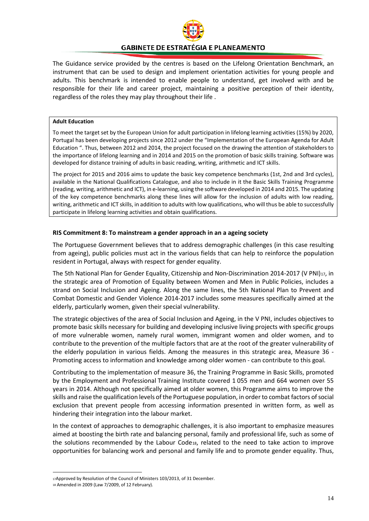

The Guidance service provided by the centres is based on the Lifelong Orientation Benchmark, an instrument that can be used to design and implement orientation activities for young people and adults. This benchmark is intended to enable people to understand, get involved with and be responsible for their life and career project, maintaining a positive perception of their identity, regardless of the roles they may play throughout their life .

#### **Adult Education**

To meet the target set by the European Union for adult participation in lifelong learning activities (15%) by 2020, Portugal has been developing projects since 2012 under the "Implementation of the European Agenda for Adult Education ". Thus, between 2012 and 2014, the project focused on the drawing the attention of stakeholders to the importance of lifelong learning and in 2014 and 2015 on the promotion of basic skills training. Software was developed for distance training of adults in basic reading, writing, arithmetic and ICT skills.

The project for 2015 and 2016 aims to update the basic key competence benchmarks (1st, 2nd and 3rd cycles), available in the National Qualifications Catalogue, and also to include in it the Basic Skills Training Programme (reading, writing, arithmetic and ICT), in e-learning, using the software developed in 2014 and 2015. The updating of the key competence benchmarks along these lines will allow for the inclusion of adults with low reading, writing, arithmetic and ICT skills, in addition to adults with low qualifications, who will thus be able to successfully participate in lifelong learning activities and obtain qualifications.

#### **RIS Commitment 8: To mainstream a gender approach in an a ageing society**

The Portuguese Government believes that to address demographic challenges (in this case resulting from ageing), public policies must act in the various fields that can help to reinforce the population resident in Portugal, always with respect for gender equality.

The 5th National Plan for Gender Equality, Citizenship and Non-Discrimination 2014-20[17](#page-14-0) (V PNI)17, in the strategic area of Promotion of Equality between Women and Men in Public Policies, includes a strand on Social Inclusion and Ageing. Along the same lines, the 5th National Plan to Prevent and Combat Domestic and Gender Violence 2014-2017 includes some measures specifically aimed at the elderly, particularly women, given their special vulnerability.

The strategic objectives of the area of Social Inclusion and Ageing, in the V PNI, includes objectives to promote basic skills necessary for building and developing inclusive living projects with specific groups of more vulnerable women, namely rural women, immigrant women and older women, and to contribute to the prevention of the multiple factors that are at the root of the greater vulnerability of the elderly population in various fields. Among the measures in this strategic area, Measure 36 - Promoting access to information and knowledge among older women - can contribute to this goal.

Contributing to the implementation of measure 36, the Training Programme in Basic Skills, promoted by the Employment and Professional Training Institute covered 1 055 men and 664 women over 55 years in 2014. Although not specifically aimed at older women, this Programme aims to improve the skills and raise the qualification levels of the Portuguese population, in order to combat factors of social exclusion that prevent people from accessing information presented in written form, as well as hindering their integration into the labour market.

In the context of approaches to demographic challenges, it is also important to emphasize measures aimed at boosting the birth rate and balancing personal, family and professional life, such as some of the solutions recommended by the Labour Cod[e18](#page-14-1), related to the need to take action to improve opportunities for balancing work and personal and family life and to promote gender equality. Thus,

<span id="page-14-0"></span><sup>17</sup>Approved by Resolution of the Council of Ministers 103/2013, of 31 December.

<span id="page-14-1"></span><sup>18</sup> Amended in 2009 (Law 7/2009, of 12 February).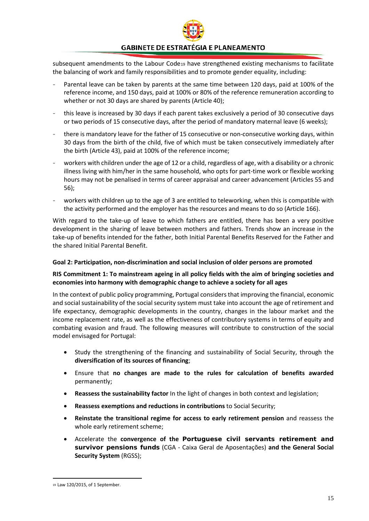

subsequent amendments to the Labour Code[19](#page-15-1) have strengthened existing mechanisms to facilitate the balancing of work and family responsibilities and to promote gender equality, including:

- Parental leave can be taken by parents at the same time between 120 days, paid at 100% of the reference income, and 150 days, paid at 100% or 80% of the reference remuneration according to whether or not 30 days are shared by parents (Article 40);
- this leave is increased by 30 days if each parent takes exclusively a period of 30 consecutive days or two periods of 15 consecutive days, after the period of mandatory maternal leave (6 weeks);
- there is mandatory leave for the father of 15 consecutive or non-consecutive working days, within 30 days from the birth of the child, five of which must be taken consecutively immediately after the birth (Article 43), paid at 100% of the reference income;
- workers with children under the age of 12 or a child, regardless of age, with a disability or a chronic illness living with him/her in the same household, who opts for part-time work or flexible working hours may not be penalised in terms of career appraisal and career advancement (Articles 55 and 56);
- workers with children up to the age of 3 are entitled to teleworking, when this is compatible with the activity performed and the employer has the resources and means to do so (Article 166).

With regard to the take-up of leave to which fathers are entitled, there has been a very positive development in the sharing of leave between mothers and fathers. Trends show an increase in the take-up of benefits intended for the father, both Initial Parental Benefits Reserved for the Father and the shared Initial Parental Benefit.

#### <span id="page-15-0"></span>**Goal 2: Participation, non-discrimination and social inclusion of older persons are promoted**

#### **RIS Commitment 1: To mainstream ageing in all policy fields with the aim of bringing societies and economies into harmony with demographic change to achieve a society for all ages**

In the context of public policy programming, Portugal considers that improving the financial, economic and social sustainability of the social security system must take into account the age of retirement and life expectancy, demographic developments in the country, changes in the labour market and the income replacement rate, as well as the effectiveness of contributory systems in terms of equity and combating evasion and fraud. The following measures will contribute to construction of the social model envisaged for Portugal:

- Study the strengthening of the financing and sustainability of Social Security, through the **diversification of its sources of financing**;
- Ensure that **no changes are made to the rules for calculation of benefits awarded**  permanently;
- **Reassess the sustainability factor** In the light of changes in both context and legislation;
- **Reassess exemptions and reductions in contributions** to Social Security;
- **Reinstate the transitional regime for access to early retirement pension** and reassess the whole early retirement scheme;
- Accelerate the **convergence of the Portuguese civil servants retirement and survivor pensions funds** (CGA - Caixa Geral de Aposentações) **and the General Social Security System** (RGSS);

<span id="page-15-1"></span> <sup>19</sup> Law 120/2015, of 1 September.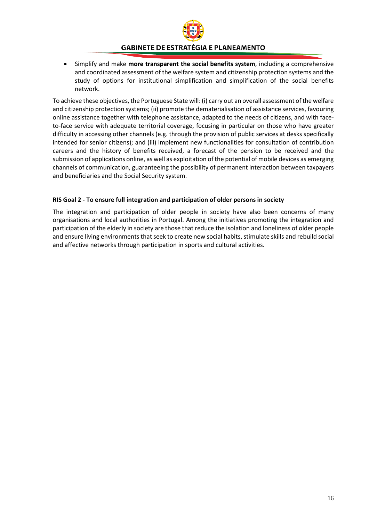

• Simplify and make **more transparent the social benefits system**, including a comprehensive and coordinated assessment of the welfare system and citizenship protection systems and the study of options for institutional simplification and simplification of the social benefits network.

To achieve these objectives, the Portuguese State will: (i) carry out an overall assessment of the welfare and citizenship protection systems; (ii) promote the dematerialisation of assistance services, favouring online assistance together with telephone assistance, adapted to the needs of citizens, and with faceto-face service with adequate territorial coverage, focusing in particular on those who have greater difficulty in accessing other channels (e.g. through the provision of public services at desks specifically intended for senior citizens); and (iii) implement new functionalities for consultation of contribution careers and the history of benefits received, a forecast of the pension to be received and the submission of applications online, as well as exploitation of the potential of mobile devices as emerging channels of communication, guaranteeing the possibility of permanent interaction between taxpayers and beneficiaries and the Social Security system.

#### **RIS Goal 2 - To ensure full integration and participation of older persons in society**

The integration and participation of older people in society have also been concerns of many organisations and local authorities in Portugal. Among the initiatives promoting the integration and participation of the elderly in society are those that reduce the isolation and loneliness of older people and ensure living environments that seek to create new social habits, stimulate skills and rebuild social and affective networks through participation in sports and cultural activities.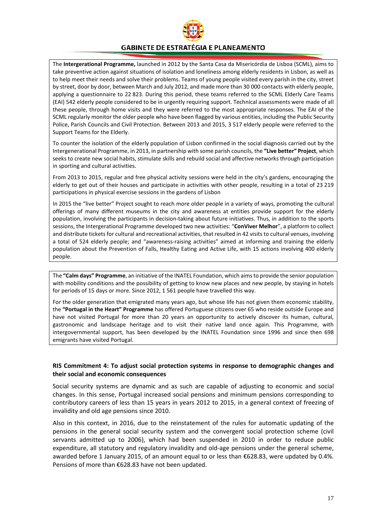

The **Intergerational Programme,** launched in 2012 by the Santa Casa da Misericórdia de Lisboa (SCML), aims to take preventive action against situations of isolation and loneliness among elderly residents in Lisbon, as well as to help meet their needs and solve their problems. Teams of young people visited every parish in the city, street by street, door by door, between March and July 2012, and made more than 30 000 contacts with elderly people, applying a questionnaire to 22 823. During this period, these teams referred to the SCML Elderly Care Teams (EAI) 542 elderly people considered to be in urgently requiring support. Technical assessments were made of all these people, through home visits and they were referred to the most appropriate responses. The EAI of the SCML regularly monitor the older people who have been flagged by various entities, including the Public Security Police, Parish Councils and Civil Protection. Between 2013 and 2015, 3 517 elderly people were referred to the Support Teams for the Elderly.

To counter the isolation of the elderly population of Lisbon confirmed in the social diagnosis carried out by the Intergenerational Programme, in 2013, in partnership with some parish councils, the **"Live better" Project**, which seeks to create new social habits, stimulate skills and rebuild social and affective networks through participation in sporting and cultural activities.

From 2013 to 2015, regular and free physical activity sessions were held in the city's gardens, encouraging the elderly to get out of their houses and participate in activities with other people, resulting in a total of 23 219 participations in physical exercise sessions in the gardens of Lisbon

In 2015 the "live better" Project sought to reach more older people in a variety of ways, promoting the cultural offerings of many different museums in the city and awareness at entities provide support for the elderly population, involving the participants in decision-taking about future initiatives. Thus, in addition to the sports sessions, the Intergerational Programme developed two new activities: "**ConViver Melhor**", a platform to collect and distribute tickets for cultural and recreational activities, that resulted in 42 visits to cultural venues, involving a total of 524 elderly people; and "awareness-raising activities" aimed at informing and training the elderly population about the Prevention of Falls, Healthy Eating and Active Life, with 15 actions involving 400 elderly people.

The **"Calm days" Programme**, an initiative of the INATEL Foundation, which aims to provide the senior population with mobility conditions and the possibility of getting to know new places and new people, by staying in hotels for periods of 15 days or more. Since 2012, 1 561 people have travelled this way.

For the older generation that emigrated many years ago, but whose life has not given them economic stability, the **"Portugal in the Heart" Programme** has offered Portuguese citizens over 65 who reside outside Europe and have not visited Portugal for more than 20 years an opportunity to actively discover its human, cultural, gastronomic and landscape heritage and to visit their native land once again. This Programme, with intergovernmental support, has been developed by the INATEL Foundation since 1996 and since then 698 emigrants have visited Portugal.

#### **RIS Commitment 4: To adjust social protection systems in response to demographic changes and their social and economic consequences**

Social security systems are dynamic and as such are capable of adjusting to economic and social changes. In this sense, Portugal increased social pensions and minimum pensions corresponding to contributory careers of less than 15 years in years 2012 to 2015, in a general context of freezing of invalidity and old age pensions since 2010.

Also in this context, in 2016, due to the reinstatement of the rules for automatic updating of the pensions in the general social security system and the convergent social protection scheme (civil servants admitted up to 2006), which had been suspended in 2010 in order to reduce public expenditure, all statutory and regulatory invalidity and old-age pensions under the general scheme, awarded before 1 January 2015, of an amount equal to or less than €628.83, were updated by 0.4%. Pensions of more than €628.83 have not been updated.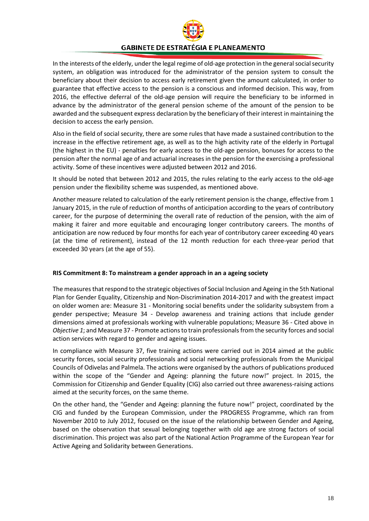

In the interests of the elderly, under the legal regime of old-age protection in the general social security system, an obligation was introduced for the administrator of the pension system to consult the beneficiary about their decision to access early retirement given the amount calculated, in order to guarantee that effective access to the pension is a conscious and informed decision. This way, from 2016, the effective deferral of the old-age pension will require the beneficiary to be informed in advance by the administrator of the general pension scheme of the amount of the pension to be awarded and the subsequent express declaration by the beneficiary of their interest in maintaining the decision to access the early pension.

Also in the field of social security, there are some rules that have made a sustained contribution to the increase in the effective retirement age, as well as to the high activity rate of the elderly in Portugal (the highest in the EU) - penalties for early access to the old-age pension, bonuses for access to the pension after the normal age of and actuarial increases in the pension for the exercising a professional activity. Some of these incentives were adjusted between 2012 and 2016.

It should be noted that between 2012 and 2015, the rules relating to the early access to the old-age pension under the flexibility scheme was suspended, as mentioned above.

Another measure related to calculation of the early retirement pension is the change, effective from 1 January 2015, in the rule of reduction of months of anticipation according to the years of contributory career, for the purpose of determining the overall rate of reduction of the pension, with the aim of making it fairer and more equitable and encouraging longer contributory careers. The months of anticipation are now reduced by four months for each year of contributory career exceeding 40 years (at the time of retirement), instead of the 12 month reduction for each three-year period that exceeded 30 years (at the age of 55).

#### **RIS Commitment 8: To mainstream a gender approach in an a ageing society**

The measures that respond to the strategic objectives of Social Inclusion and Ageing in the 5th National Plan for Gender Equality, Citizenship and Non-Discrimination 2014-2017 and with the greatest impact on older women are: Measure 31 - Monitoring social benefits under the solidarity subsystem from a gender perspective; Measure 34 - Develop awareness and training actions that include gender dimensions aimed at professionals working with vulnerable populations; Measure 36 - Cited above in *Objective 1*; and Measure 37 - Promote actions to train professionals from the security forces and social action services with regard to gender and ageing issues.

In compliance with Measure 37, five training actions were carried out in 2014 aimed at the public security forces, social security professionals and social networking professionals from the Municipal Councils of Odivelas and Palmela. The actions were organised by the authors of publications produced within the scope of the "Gender and Ageing: planning the future now!" project. In 2015, the Commission for Citizenship and Gender Equality (CIG) also carried out three awareness-raising actions aimed at the security forces, on the same theme.

On the other hand, the "Gender and Ageing: planning the future now!" project, coordinated by the CIG and funded by the European Commission, under the PROGRESS Programme, which ran from November 2010 to July 2012, focused on the issue of the relationship between Gender and Ageing, based on the observation that sexual belonging together with old age are strong factors of social discrimination. This project was also part of the National Action Programme of the European Year for Active Ageing and Solidarity between Generations.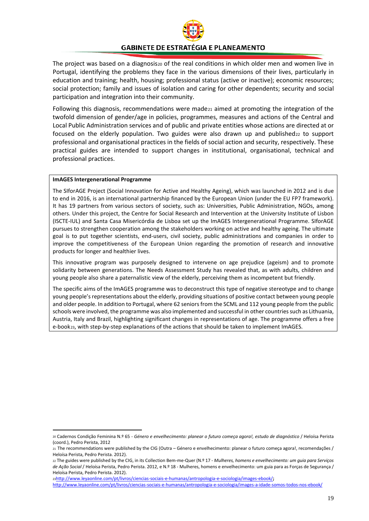

The project was based on a diagnosis[20](#page-19-0) of the real conditions in which older men and women live in Portugal, identifying the problems they face in the various dimensions of their lives, particularly in education and training; health, housing; professional status (active or inactive); economic resources; social protection; family and issues of isolation and caring for other dependents; security and social participation and integration into their community.

Following this diagnosis, recommendations were made $21$  aimed at promoting the integration of the twofold dimension of gender/age in policies, programmes, measures and actions of the Central and Local Public Administration services and of public and private entities whose actions are directed at or focused on the elderly population. Two guides were also drawn up and published $22$  to support professional and organisational practices in the fields of social action and security, respectively. These practical guides are intended to support changes in institutional, organisational, technical and professional practices.

#### **ImAGES Intergenerational Programme**

The SIforAGE Project (Social Innovation for Active and Healthy Ageing), which was launched in 2012 and is due to end in 2016, is an international partnership financed by the European Union (under the EU FP7 framework). It has 19 partners from various sectors of society, such as: Universities, Public Administration, NGOs, among others. Under this project, the Centre for Social Research and Intervention at the University Institute of Lisbon (ISCTE-IUL) and Santa Casa Misericórdia de Lisboa set up the ImAGES Intergenerational Programme. SIforAGE pursues to strengthen cooperation among the stakeholders working on active and healthy ageing. The ultimate goal is to put together scientists, end-users, civil society, public administrations and companies in order to improve the competitiveness of the European Union regarding the promotion of research and innovative products for longer and healthier lives.

This innovative program was purposely designed to intervene on age prejudice (ageism) and to promote solidarity between generations. The Needs Assessment Study has revealed that, as with adults, children and young people also share a paternalistic view of the elderly, perceiving them as incompetent but friendly.

The specific aims of the ImAGES programme was to deconstruct this type of negative stereotype and to change young people's representations about the elderly, providing situations of positive contact between young people and older people. In addition to Portugal, where 62 seniors from the SCML and 112 young people from the public schools were involved, the programme was also implemented and successful in other countries such as Lithuania, Austria, Italy and Brazil, highlighting significant changes in representations of age. The programme offers a free e-book[23](#page-19-3), with step-by-step explanations of the actions that should be taken to implement ImAGES.

<span id="page-19-0"></span> <sup>20</sup> Cadernos Condição Feminina N.º 65 - *Género e envelhecimento: planear o futuro começa agora!, estudo de diagnóstico* / Heloísa Perista (coord.), Pedro Perista, 2012

<span id="page-19-1"></span><sup>21</sup> The recommendations were published by the CIG (Outra – Género e envelhecimento: planear o futuro começa agora!, recomendações / Heloísa Perista, Pedro Perista. 2012).

<span id="page-19-2"></span><sup>22</sup> The guides were published by the CIG, in its Collection Bem-me-Quer (N.º 17 - *Mulheres, homens e envelhecimento: um guia para Serviços de Ação Social* / Heloísa Perista, Pedro Perista. 2012, e N.º 18 - Mulheres, homens e envelhecimento: um guia para as Forças de Segurança / Heloísa Perista, Pedro Perista. 2012).

<sup>2</sup>[3http://www.leyaonline.com/pt/livros/ciencias-sociais-e-humanas/antropologia-e-sociologia/images-ebook/](http://www.leyaonline.com/pt/livros/ciencias-sociais-e-humanas/antropologia-e-sociologia/images-ebook/)**;**

<span id="page-19-3"></span><http://www.leyaonline.com/pt/livros/ciencias-sociais-e-humanas/antropologia-e-sociologia/images-a-idade-somos-todos-nos-ebook/>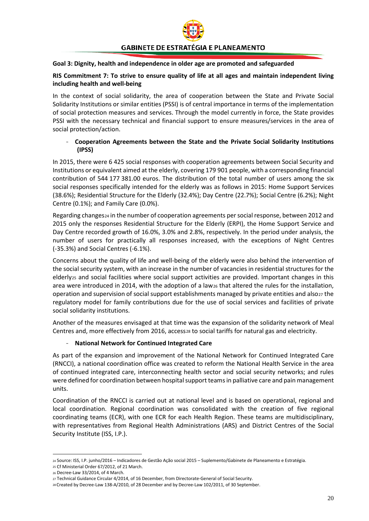

#### <span id="page-20-0"></span>**Goal 3: Dignity, health and independence in older age are promoted and safeguarded**

#### **RIS Commitment 7: To strive to ensure quality of life at all ages and maintain independent living including health and well-being**

In the context of social solidarity, the area of cooperation between the State and Private Social Solidarity Institutions or similar entities (PSSI) is of central importance in terms of the implementation of social protection measures and services. Through the model currently in force, the State provides PSSI with the necessary technical and financial support to ensure measures/services in the area of social protection/action.

#### - **Cooperation Agreements between the State and the Private Social Solidarity Institutions (IPSS)**

In 2015, there were 6 425 social responses with cooperation agreements between Social Security and Institutions or equivalent aimed at the elderly, covering 179 901 people, with a corresponding financial contribution of 544 177 381.00 euros. The distribution of the total number of users among the six social responses specifically intended for the elderly was as follows in 2015: Home Support Services (38.6%); Residential Structure for the Elderly (32.4%); Day Centre (22.7%); Social Centre (6.2%); Night Centre (0.1%); and Family Care (0.0%).

Regarding changes[24](#page-20-1) in the number of cooperation agreements per social response, between 2012 and 2015 only the responses Residential Structure for the Elderly (ERPI), the Home Support Service and Day Centre recorded growth of 16.0%, 3.0% and 2.8%, respectively. In the period under analysis, the number of users for practically all responses increased, with the exceptions of Night Centres (-35.3%) and Social Centres (-6.1%).

Concerns about the quality of life and well-being of the elderly were also behind the intervention of the social security system, with an increase in the number of vacancies in residential structures for the elderly[25](#page-20-2) and social facilities where social support activities are provided. Important changes in this area were introduced in 2014, with the adoption of a law<sub>[26](#page-20-3)</sub> that altered the rules for the installation, operation and supervision of social support establishments managed by private entities and also<sub>[27](#page-20-4)</sub> the regulatory model for family contributions due for the use of social services and facilities of private social solidarity institutions.

Another of the measures envisaged at that time was the expansion of the solidarity network of Meal Centres and, more effectively from 2016, access<sub>[28](#page-20-5)</sub> to social tariffs for natural gas and electricity.

#### - **National Network for Continued Integrated Care**

As part of the expansion and improvement of the National Network for Continued Integrated Care (RNCCI), a national coordination office was created to reform the National Health Service in the area of continued integrated care, interconnecting health sector and social security networks; and rules were defined for coordination between hospital support teams in palliative care and pain management units.

Coordination of the RNCCI is carried out at national level and is based on operational, regional and local coordination. Regional coordination was consolidated with the creation of five regional coordinating teams (ECR), with one ECR for each Health Region. These teams are multidisciplinary, with representatives from Regional Health Administrations (ARS) and District Centres of the Social Security Institute (ISS, I.P.).

<span id="page-20-1"></span> <sup>24</sup> Source: ISS, I.P. junho/2016 – Indicadores de Gestão Ação social 2015 – Suplemento/Gabinete de Planeamento e Estratégia.

<span id="page-20-2"></span><sup>25</sup> Cf Ministerial Order 67/2012, of 21 March.

<span id="page-20-3"></span><sup>26</sup> Decree-Law 33/2014, of 4 March.

<span id="page-20-4"></span><sup>27</sup> Technical Guidance Circular 4/2014, of 16 December, from Directorate-General of Social Security.

<span id="page-20-5"></span><sup>28</sup> Created by Decree-Law 138-A/2010, of 28 December and by Decree-Law 102/2011, of 30 September.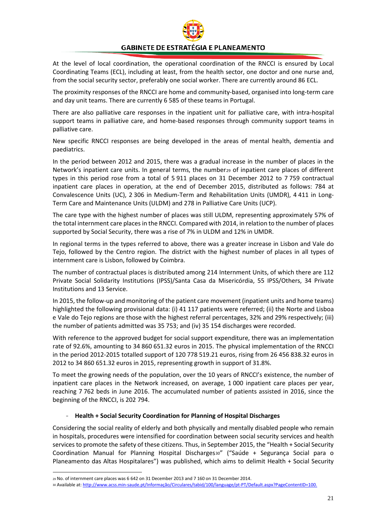

At the level of local coordination, the operational coordination of the RNCCI is ensured by Local Coordinating Teams (ECL), including at least, from the health sector, one doctor and one nurse and, from the social security sector, preferably one social worker. There are currently around 86 ECL.

The proximity responses of the RNCCI are home and community-based, organised into long-term care and day unit teams. There are currently 6 585 of these teams in Portugal.

There are also palliative care responses in the inpatient unit for palliative care, with intra-hospital support teams in palliative care, and home-based responses through community support teams in palliative care.

New specific RNCCI responses are being developed in the areas of mental health, dementia and paediatrics.

In the period between 2012 and 2015, there was a gradual increase in the number of places in the Network's inpatient care units. In general terms, the number[29](#page-21-0) of inpatient care places of different types in this period rose from a total of 5 911 places on 31 December 2012 to 7 759 contractual inpatient care places in operation, at the end of December 2015, distributed as follows: 784 at Convalescence Units (UC), 2 306 in Medium-Term and Rehabilitation Units (UMDR), 4 411 in Long-Term Care and Maintenance Units (ULDM) and 278 in Palliative Care Units (UCP).

The care type with the highest number of places was still ULDM, representing approximately 57% of the total internment care places in the RNCCI. Compared with 2014, in relation to the number of places supported by Social Security, there was a rise of 7% in ULDM and 12% in UMDR.

In regional terms in the types referred to above, there was a greater increase in Lisbon and Vale do Tejo, followed by the Centro region. The district with the highest number of places in all types of internment care is Lisbon, followed by Coimbra.

The number of contractual places is distributed among 214 Internment Units, of which there are 112 Private Social Solidarity Institutions (IPSS)/Santa Casa da Misericórdia, 55 IPSS/Others, 34 Private Institutions and 13 Service.

In 2015, the follow-up and monitoring of the patient care movement (inpatient units and home teams) highlighted the following provisional data: (i) 41 117 patients were referred; (ii) the Norte and Lisboa e Vale do Tejo regions are those with the highest referral percentages, 32% and 29% respectively; (iii) the number of patients admitted was 35 753; and (iv) 35 154 discharges were recorded.

With reference to the approved budget for social support expenditure, there was an implementation rate of 92.6%, amounting to 34 860 651.32 euros in 2015. The physical implementation of the RNCCI in the period 2012-2015 totalled support of 120 778 519.21 euros, rising from 26 456 838.32 euros in 2012 to 34 860 651.32 euros in 2015, representing growth in support of 31.8%.

To meet the growing needs of the population, over the 10 years of RNCCI's existence, the number of inpatient care places in the Network increased, on average, 1 000 inpatient care places per year, reaching 7 762 beds in June 2016. The accumulated number of patients assisted in 2016, since the beginning of the RNCCI, is 202 794.

#### - **Health + Social Security Coordination for Planning of Hospital Discharges**

Considering the social reality of elderly and both physically and mentally disabled people who remain in hospitals, procedures were intensified for coordination between social security services and health services to promote the safety of these citizens. Thus, in September 2015, the "Health + Social Security Coordination Manual for Planning Hospital Discharges[30"](#page-21-1) ("Saúde + Segurança Social para o Planeamento das Altas Hospitalares") was published, which aims to delimit Health + Social Security

<span id="page-21-0"></span> <sup>29</sup> No. of internment care places was 6 642 on 31 December 2013 and 7 160 on 31 December 2014.

<span id="page-21-1"></span><sup>30</sup> Available at: [http://www.acss.min-saude.pt/Informação/Circulares/tabid/100/language/pt-PT/Default.aspx?PageContentID=100.](http://www.acss.min-saude.pt/Informa%C3%A7%C3%A3o/Circulares/tabid/100/language/pt-PT/Default.aspx?PageContentID=100)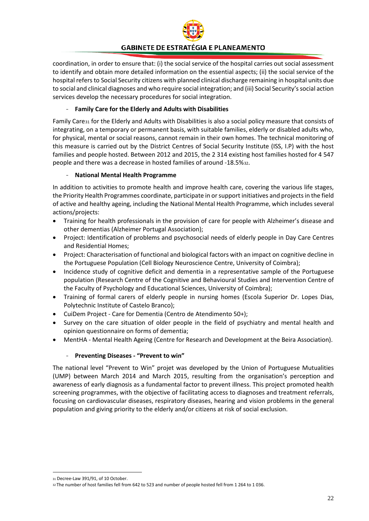

coordination, in order to ensure that: (i) the social service of the hospital carries out social assessment to identify and obtain more detailed information on the essential aspects; (ii) the social service of the hospital refers to Social Security citizens with planned clinical discharge remaining in hospital units due to social and clinical diagnoses and who require social integration; and (iii) Social Security's social action services develop the necessary procedures for social integration.

## - **Family Care for the Elderly and Adults with Disabilities**

Family Care[31](#page-22-0) for the Elderly and Adults with Disabilities is also a social policy measure that consists of integrating, on a temporary or permanent basis, with suitable families, elderly or disabled adults who, for physical, mental or social reasons, cannot remain in their own homes. The technical monitoring of this measure is carried out by the District Centres of Social Security Institute (ISS, I.P) with the host families and people hosted. Between 2012 and 2015, the 2 314 existing host families hosted for 4 547 people and there was a decrease in hosted families of around -18.5%[32.](#page-22-1)

### - **National Mental Health Programme**

In addition to activities to promote health and improve health care, covering the various life stages, the Priority Health Programmes coordinate, participate in or support initiatives and projects in the field of active and healthy ageing, including the National Mental Health Programme, which includes several actions/projects:

- Training for health professionals in the provision of care for people with Alzheimer's disease and other dementias (Alzheimer Portugal Association);
- Project: Identification of problems and psychosocial needs of elderly people in Day Care Centres and Residential Homes;
- Project: Characterisation of functional and biological factors with an impact on cognitive decline in the Portuguese Population (Cell Biology Neuroscience Centre, University of Coimbra);
- Incidence study of cognitive deficit and dementia in a representative sample of the Portuguese population (Research Centre of the Cognitive and Behavioural Studies and Intervention Centre of the Faculty of Psychology and Educational Sciences, University of Coimbra);
- Training of formal carers of elderly people in nursing homes (Escola Superior Dr. Lopes Dias, Polytechnic Institute of Castelo Branco);
- CuiDem Project Care for Dementia (Centro de Atendimento 50+);
- Survey on the care situation of older people in the field of psychiatry and mental health and opinion questionnaire on forms of dementia;
- MentHA Mental Health Ageing (Centre for Research and Development at the Beira Association).

### - **Preventing Diseases - "Prevent to win"**

The national level "Prevent to Win" projet was developed by the Union of Portuguese Mutualities (UMP) between March 2014 and March 2015, resulting from the organisation's perception and awareness of early diagnosis as a fundamental factor to prevent illness. This project promoted health screening programmes, with the objective of facilitating access to diagnoses and treatment referrals, focusing on cardiovascular diseases, respiratory diseases, hearing and vision problems in the general population and giving priority to the elderly and/or citizens at risk of social exclusion.

<span id="page-22-0"></span> <sup>31</sup> Decree-Law 391/91, of 10 October.

<span id="page-22-1"></span><sup>32</sup> The number of host families fell from 642 to 523 and number of people hosted fell from 1 264 to 1 036.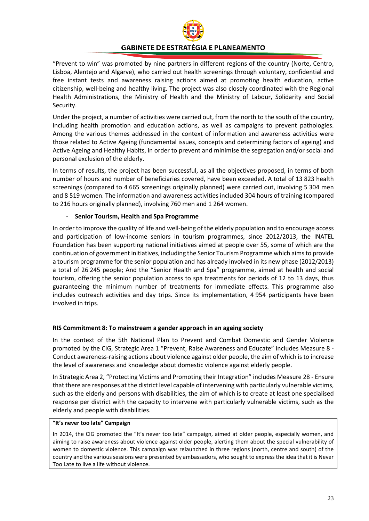

"Prevent to win" was promoted by nine partners in different regions of the country (Norte, Centro, Lisboa, Alentejo and Algarve), who carried out health screenings through voluntary, confidential and free instant tests and awareness raising actions aimed at promoting health education, active citizenship, well-being and healthy living. The project was also closely coordinated with the Regional Health Administrations, the Ministry of Health and the Ministry of Labour, Solidarity and Social Security.

Under the project, a number of activities were carried out, from the north to the south of the country, including health promotion and education actions, as well as campaigns to prevent pathologies. Among the various themes addressed in the context of information and awareness activities were those related to Active Ageing (fundamental issues, concepts and determining factors of ageing) and Active Ageing and Healthy Habits, in order to prevent and minimise the segregation and/or social and personal exclusion of the elderly.

In terms of results, the project has been successful, as all the objectives proposed, in terms of both number of hours and number of beneficiaries covered, have been exceeded. A total of 13 823 health screenings (compared to 4 665 screenings originally planned) were carried out, involving 5 304 men and 8 519 women. The information and awareness activities included 304 hours of training (compared to 216 hours originally planned), involving 760 men and 1 264 women.

#### - **Senior Tourism, Health and Spa Programme**

In order to improve the quality of life and well-being of the elderly population and to encourage access and participation of low-income seniors in tourism programmes, since 2012/2013, the INATEL Foundation has been supporting national initiatives aimed at people over 55, some of which are the continuation of government initiatives, including the Senior Tourism Programme which aims to provide a tourism programme for the senior population and has already involved in its new phase (2012/2013) a total of 26 245 people; And the "Senior Health and Spa" programme, aimed at health and social tourism, offering the senior population access to spa treatments for periods of 12 to 13 days, thus guaranteeing the minimum number of treatments for immediate effects. This programme also includes outreach activities and day trips. Since its implementation, 4 954 participants have been involved in trips.

#### **RIS Commitment 8: To mainstream a gender approach in an ageing society**

In the context of the 5th National Plan to Prevent and Combat Domestic and Gender Violence promoted by the CIG, Strategic Area 1 "Prevent, Raise Awareness and Educate" includes Measure 8 -Conduct awareness-raising actions about violence against older people, the aim of which is to increase the level of awareness and knowledge about domestic violence against elderly people.

In Strategic Area 2, "Protecting Victims and Promoting their Integration" includes Measure 28 - Ensure that there are responses at the district level capable of intervening with particularly vulnerable victims, such as the elderly and persons with disabilities, the aim of which is to create at least one specialised response per district with the capacity to intervene with particularly vulnerable victims, such as the elderly and people with disabilities.

#### **"It's never too late" Campaign**

In 2014, the CIG promoted the "It's never too late" campaign, aimed at older people, especially women, and aiming to raise awareness about violence against older people, alerting them about the special vulnerability of women to domestic violence. This campaign was relaunched in three regions (north, centre and south) of the country and the various sessions were presented by ambassadors, who sought to express the idea that it is Never Too Late to live a life without violence.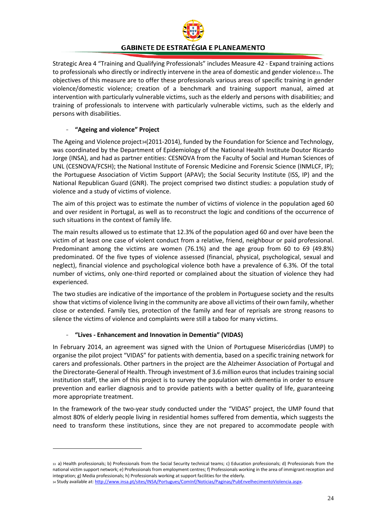

Strategic Area 4 "Training and Qualifying Professionals" includes Measure 42 - Expand training actions to professionals who directly or indirectly intervene in the area of domestic and gender violence[33](#page-24-0). The objectives of this measure are to offer these professionals various areas of specific training in gender violence/domestic violence; creation of a benchmark and training support manual, aimed at intervention with particularly vulnerable victims, such as the elderly and persons with disabilities; and training of professionals to intervene with particularly vulnerable victims, such as the elderly and persons with disabilities.

#### - **"Ageing and violence" Project**

**.** 

The Ageing and Violence project<sub>[34](#page-24-1)</sub>(2011-2014), funded by the Foundation for Science and Technology, was coordinated by the Department of Epidemiology of the National Health Institute Doutor Ricardo Jorge (INSA), and had as partner entities: CESNOVA from the Faculty of Social and Human Sciences of UNL (CESNOVA/FCSH); the National Institute of Forensic Medicine and Forensic Science (INMLCF, IP); the Portuguese Association of Victim Support (APAV); the Social Security Institute (ISS, IP) and the National Republican Guard (GNR). The project comprised two distinct studies: a population study of violence and a study of victims of violence.

The aim of this project was to estimate the number of victims of violence in the population aged 60 and over resident in Portugal, as well as to reconstruct the logic and conditions of the occurrence of such situations in the context of family life.

The main results allowed us to estimate that 12.3% of the population aged 60 and over have been the victim of at least one case of violent conduct from a relative, friend, neighbour or paid professional. Predominant among the victims are women (76.1%) and the age group from 60 to 69 (49.8%) predominated. Of the five types of violence assessed (financial, physical, psychological, sexual and neglect), financial violence and psychological violence both have a prevalence of 6.3%. Of the total number of victims, only one-third reported or complained about the situation of violence they had experienced.

The two studies are indicative of the importance of the problem in Portuguese society and the results show that victims of violence living in the community are above all victims of their own family, whether close or extended. Family ties, protection of the family and fear of reprisals are strong reasons to silence the victims of violence and complaints were still a taboo for many victims.

### - **"Lives - Enhancement and Innovation in Dementia" (VIDAS)**

In February 2014, an agreement was signed with the Union of Portuguese Misericórdias (UMP) to organise the pilot project "VIDAS" for patients with dementia, based on a specific training network for carers and professionals. Other partners in the project are the Alzheimer Association of Portugal and the Directorate-General of Health. Through investment of 3.6 million euros that includes training social institution staff, the aim of this project is to survey the population with dementia in order to ensure prevention and earlier diagnosis and to provide patients with a better quality of life, guaranteeing more appropriate treatment.

In the framework of the two-year study conducted under the "VIDAS" project, the UMP found that almost 80% of elderly people living in residential homes suffered from dementia, which suggests the need to transform these institutions, since they are not prepared to accommodate people with

<span id="page-24-0"></span><sup>33</sup> a) Health professionals; b) Professionals from the Social Security technical teams; c) Education professionals; d) Professionals from the national victim support network; e) Professionals from employment centres; f) Professionals working in the area of immigrant reception and integration; g) Media professionals; h) Professionals working at support facilities for the elderly.

<span id="page-24-1"></span><sup>34</sup> Study available at[: http://www.insa.pt/sites/INSA/Portugues/ComInf/Noticias/Paginas/PubEnvelhecimentoViolencia.aspx.](http://www.insa.pt/sites/INSA/Portugues/ComInf/Noticias/Paginas/PubEnvelhecimentoViolencia.aspx)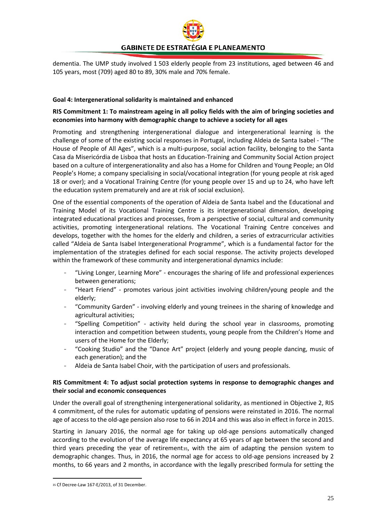

dementia. The UMP study involved 1 503 elderly people from 23 institutions, aged between 46 and 105 years, most (709) aged 80 to 89, 30% male and 70% female.

#### <span id="page-25-0"></span>**Goal 4: Intergenerational solidarity is maintained and enhanced**

#### **RIS Commitment 1: To mainstream ageing in all policy fields with the aim of bringing societies and economies into harmony with demographic change to achieve a society for all ages**

Promoting and strengthening intergenerational dialogue and intergenerational learning is the challenge of some of the existing social responses in Portugal, including Aldeia de Santa Isabel - "The House of People of All Ages", which is a multi-purpose, social action facility, belonging to the Santa Casa da Misericórdia de Lisboa that hosts an Education-Training and Community Social Action project based on a culture of intergenerationality and also has a Home for Children and Young People; an Old People's Home; a company specialising in social/vocational integration (for young people at risk aged 18 or over); and a Vocational Training Centre (for young people over 15 and up to 24, who have left the education system prematurely and are at risk of social exclusion).

One of the essential components of the operation of Aldeia de Santa Isabel and the Educational and Training Model of its Vocational Training Centre is its intergenerational dimension, developing integrated educational practices and processes, from a perspective of social, cultural and community activities, promoting intergenerational relations. The Vocational Training Centre conceives and develops, together with the homes for the elderly and children, a series of extracurricular activities called "Aldeia de Santa Isabel Intergenerational Programme", which is a fundamental factor for the implementation of the strategies defined for each social response. The activity projects developed within the framework of these community and intergenerational dynamics include:

- "Living Longer, Learning More" encourages the sharing of life and professional experiences between generations;
- "Heart Friend" promotes various joint activities involving children/young people and the elderly;
- "Community Garden" involving elderly and young treinees in the sharing of knowledge and agricultural activities;
- "Spelling Competition" activity held during the school year in classrooms, promoting interaction and competition between students, young people from the Children's Home and users of the Home for the Elderly;
- "Cooking Studio" and the "Dance Art" project (elderly and young people dancing, music of each generation); and the
- Aldeia de Santa Isabel Choir, with the participation of users and professionals.

#### **RIS Commitment 4: To adjust social protection systems in response to demographic changes and their social and economic consequences**

Under the overall goal of strengthening intergenerational solidarity, as mentioned in Objective 2, RIS 4 commitment, of the rules for automatic updating of pensions were reinstated in 2016. The normal age of access to the old-age pension also rose to 66 in 2014 and this was also in effect in force in 2015.

Starting in January 2016, the normal age for taking up old-age pensions automatically changed according to the evolution of the average life expectancy at 65 years of age between the second and third years preceding the year of retirementss, with the aim of adapting the pension system to demographic changes. Thus, in 2016, the normal age for access to old-age pensions increased by 2 months, to 66 years and 2 months, in accordance with the legally prescribed formula for setting the

<span id="page-25-1"></span> <sup>35</sup> Cf Decree-Law 167-E/2013, of 31 December.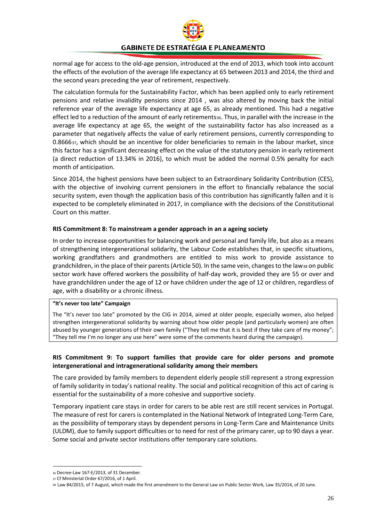

normal age for access to the old-age pension, introduced at the end of 2013, which took into account the effects of the evolution of the average life expectancy at 65 between 2013 and 2014, the third and the second years preceding the year of retirement, respectively.

The calculation formula for the Sustainability Factor, which has been applied only to early retirement pensions and relative invalidity pensions since 2014 , was also altered by moving back the initial reference year of the average life expectancy at age 65, as already mentioned. This had a negative effect led to a reduction of the amount of early retirements[36.](#page-26-0) Thus, in parallel with the increase in the average life expectancy at age 65, the weight of the sustainability factor has also increased as a parameter that negatively affects the value of early retirement pensions, currently corresponding to 0.8666[37](#page-26-1), which should be an incentive for older beneficiaries to remain in the labour market, since this factor has a significant decreasing effect on the value of the statutory pension in early retirement (a direct reduction of 13.34% in 2016), to which must be added the normal 0.5% penalty for each month of anticipation.

Since 2014, the highest pensions have been subject to an Extraordinary Solidarity Contribution (CES), with the objective of involving current pensioners in the effort to financially rebalance the social security system, even though the application basis of this contribution has significantly fallen and it is expected to be completely eliminated in 2017, in compliance with the decisions of the Constitutional Court on this matter.

#### **RIS Commitment 8: To mainstream a gender approach in an a ageing society**

In order to increase opportunities for balancing work and personal and family life, but also as a means of strengthening intergenerational solidarity, the Labour Code establishes that, in specific situations, working grandfathers and grandmothers are entitled to miss work to provide assistance to grandchildren, in the place of their parents (Article 50). In the same vein, changes to the law[38](#page-26-2) on public sector work have offered workers the possibility of half-day work, provided they are 55 or over and have grandchildren under the age of 12 or have children under the age of 12 or children, regardless of age, with a disability or a chronic illness.

#### **"It's never too late" Campaign**

The "It's never too late" promoted by the CIG in 2014, aimed at older people, especially women, also helped strengthen intergenerational solidarity by warning about how older people (and particularly women) are often abused by younger generations of their own family ("They tell me that it is best if they take care of my money"; "They tell me I'm no longer any use here" were some of the comments heard during the campaign).

#### **RIS Commitment 9: To support families that provide care for older persons and promote intergenerational and intragenerational solidarity among their members**

The care provided by family members to dependent elderly people still represent a strong expression of family solidarity in today's national reality. The social and political recognition of this act of caring is essential for the sustainability of a more cohesive and supportive society.

Temporary inpatient care stays in order for carers to be able rest are still recent services in Portugal. The measure of rest for carers is contemplated in the National Network of Integrated Long-Term Care, as the possibility of temporary stays by dependent persons in Long-Term Care and Maintenance Units (ULDM), due to family support difficulties or to need for rest of the primary carer, up to 90 days a year. Some social and private sector institutions offer temporary care solutions.

<span id="page-26-0"></span> <sup>36</sup> Decree-Law 167-E/2013, of 31 December.

<sup>37</sup> Cf Ministerial Order 67/2016, of 1 April.

<span id="page-26-2"></span><span id="page-26-1"></span><sup>38</sup> Law 84/2015, of 7 August, which made the first amendment to the General Law on Public Sector Work, Law 35/2014, of 20 June.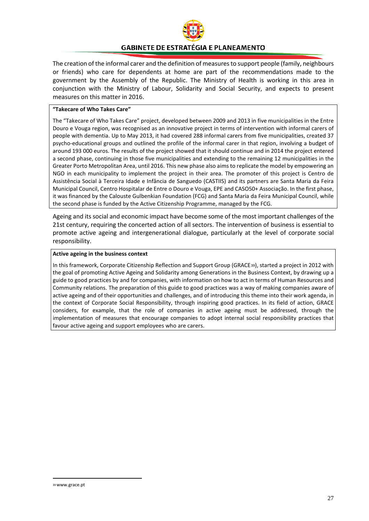

The creation of the informal carer and the definition of measures to support people (family, neighbours or friends) who care for dependents at home are part of the recommendations made to the government by the Assembly of the Republic. The Ministry of Health is working in this area in conjunction with the Ministry of Labour, Solidarity and Social Security, and expects to present measures on this matter in 2016.

#### **"Takecare of Who Takes Care"**

The "Takecare of Who Takes Care" project, developed between 2009 and 2013 in five municipalities in the Entre Douro e Vouga region, was recognised as an innovative project in terms of intervention with informal carers of people with dementia. Up to May 2013, it had covered 288 informal carers from five municipalities, created 37 psycho-educational groups and outlined the profile of the informal carer in that region, involving a budget of around 193 000 euros. The results of the project showed that it should continue and in 2014 the project entered a second phase, continuing in those five municipalities and extending to the remaining 12 municipalities in the Greater Porto Metropolitan Area, until 2016. This new phase also aims to replicate the model by empowering an NGO in each municipality to implement the project in their area. The promoter of this project is Centro de Assistência Social à Terceira Idade e Infância de Sanguedo (CASTIIS) and its partners are Santa Maria da Feira Municipal Council, Centro Hospitalar de Entre o Douro e Vouga, EPE and CASO50+ Associação. In the first phase, it was financed by the Calouste Gulbenkian Foundation (FCG) and Santa Maria da Feira Municipal Council, while the second phase is funded by the Active Citizenship Programme, managed by the FCG.

Ageing and its social and economic impact have become some of the most important challenges of the 21st century, requiring the concerted action of all sectors. The intervention of business is essential to promote active ageing and intergenerational dialogue, particularly at the level of corporate social responsibility.

#### **Active ageing in the business context**

<span id="page-27-0"></span>In this framework, Corporate Citizenship Reflection and Support Group (GRACE[39\)](#page-27-0), started a project in 2012 with the goal of promoting Active Ageing and Solidarity among Generations in the Business Context, by drawing up a guide to good practices by and for companies, with information on how to act in terms of Human Resources and Community relations. The preparation of this guide to good practices was a way of making companies aware of active ageing and of their opportunities and challenges, and of introducing this theme into their work agenda, in the context of Corporate Social Responsibility, through inspiring good practices. In its field of action, GRACE considers, for example, that the role of companies in active ageing must be addressed, through the implementation of measures that encourage companies to adopt internal social responsibility practices that favour active ageing and support employees who are carers.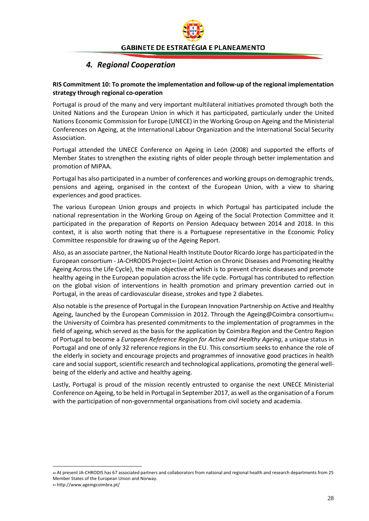## *4. Regional Cooperation*

#### <span id="page-28-0"></span>**RIS Commitment 10: To promote the implementation and follow-up of the regional implementation strategy through regional co-operation**

Portugal is proud of the many and very important multilateral initiatives promoted through both the United Nations and the European Union in which it has participated, particularly under the United Nations Economic Commission for Europe (UNECE) in the Working Group on Ageing and the Ministerial Conferences on Ageing, at the International Labour Organization and the International Social Security Association.

Portugal attended the UNECE Conference on Ageing in León (2008) and supported the efforts of Member States to strengthen the existing rights of older people through better implementation and promotion of MIPAA.

Portugal has also participated in a number of conferences and working groups on demographic trends, pensions and ageing, organised in the context of the European Union, with a view to sharing experiences and good practices.

The various European Union groups and projects in which Portugal has participated include the national representation in the Working Group on Ageing of the Social Protection Committee and it participated in the preparation of Reports on Pension Adequacy between 2014 and 2018. In this context, it is also worth noting that there is a Portuguese representative in the Economic Policy Committee responsible for drawing up of the Ageing Report.

Also, as an associate partner, the National Health Institute Doutor Ricardo Jorge has participated in the European consortium - JA-CHRODIS Project<sup>[40](#page-28-1)</sup> (Joint Action on Chronic Diseases and Promoting Healthy Ageing Across the Life Cycle), the main objective of which is to prevent chronic diseases and promote healthy ageing in the European population across the life cycle. Portugal has contributed to reflection on the global vision of interventions in health promotion and primary prevention carried out in Portugal, in the areas of cardiovascular disease, strokes and type 2 diabetes.

Also notable is the presence of Portugal in th[e European Innovation Partnership on Active and Healthy](http://ec.europa.eu/research/innovation-union/index_en.cfm?section=active-healthy-ageing)  [Ageing,](http://ec.europa.eu/research/innovation-union/index_en.cfm?section=active-healthy-ageing) launched by the European Commission in 2012. Through the Ageing@Coimbra consortium<sub>[41](#page-28-2)</sub> the University of Coimbra has presented commitments to the implementation of programmes in the field of ageing, which served as the basis for the application by Coimbra Region and the Centro Region of Portugal to become a *European Reference Region for Active and Healthy Ageing*, a unique status in Portugal and one of only 32 reference regions in the EU. This consortium seeks to enhance the role of the elderly in society and encourage projects and programmes of innovative good practices in health care and social support, scientific research and technological applications, promoting the general wellbeing of the elderly and active and healthy ageing.

Lastly, Portugal is proud of the mission recently entrusted to organise the next UNECE Ministerial Conference on Ageing, to be held in Portugal in September 2017, as well as the organisation of a Forum with the participation of non-governmental organisations from civil society and academia.

<span id="page-28-1"></span> <sup>40</sup> At present JA-CHRODIS has 67 associated partners and collaborators from national and regional health and research departments from 25 Member States of the European Union and Norway.

<span id="page-28-2"></span><sup>41</sup> http://www.ageingcoimbra.pt/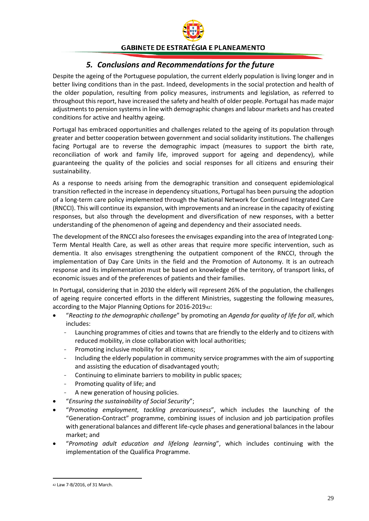

## *5. Conclusions and Recommendations for the future*

<span id="page-29-0"></span>Despite the ageing of the Portuguese population, the current elderly population is living longer and in better living conditions than in the past. Indeed, developments in the social protection and health of the older population, resulting from policy measures, instruments and legislation, as referred to throughout this report, have increased the safety and health of older people. Portugal has made major adjustments to pension systems in line with demographic changes and labour markets and has created conditions for active and healthy ageing.

Portugal has embraced opportunities and challenges related to the ageing of its population through greater and better cooperation between government and social solidarity institutions. The challenges facing Portugal are to reverse the demographic impact (measures to support the birth rate, reconciliation of work and family life, improved support for ageing and dependency), while guaranteeing the quality of the policies and social responses for all citizens and ensuring their sustainability.

As a response to needs arising from the demographic transition and consequent epidemiological transition reflected in the increase in dependency situations, Portugal has been pursuing the adoption of a long-term care policy implemented through the National Network for Continued Integrated Care (RNCCI). This will continue its expansion, with improvements and an increase in the capacity of existing responses, but also through the development and diversification of new responses, with a better understanding of the phenomenon of ageing and dependency and their associated needs.

The development of the RNCCI also foresees the envisages expanding into the area of Integrated Long-Term Mental Health Care, as well as other areas that require more specific intervention, such as dementia. It also envisages strengthening the outpatient component of the RNCCI, through the implementation of Day Care Units in the field and the Promotion of Autonomy. It is an outreach response and its implementation must be based on knowledge of the territory, of transport links, of economic issues and of the preferences of patients and their families.

In Portugal, considering that in 2030 the elderly will represent 26% of the population, the challenges of ageing require concerted efforts in the different Ministries, suggesting the following measures, according to the Major Planning Options for 2016-2019[42](#page-29-1):

- "*Reacting to the demographic challenge*" by promoting an *Agenda for quality of life for all*, which includes:
	- Launching programmes of cities and towns that are friendly to the elderly and to citizens with reduced mobility, in close collaboration with local authorities;
	- Promoting inclusive mobility for all citizens;
	- Including the elderly population in community service programmes with the aim of supporting and assisting the education of disadvantaged youth;
	- Continuing to eliminate barriers to mobility in public spaces;
	- Promoting quality of life; and
	- A new generation of housing policies.
- "*Ensuring the sustainability of Social Security*";
- "*Promoting employment, tackling precariousness*", which includes the launching of the "Generation-Contract" programme, combining issues of inclusion and job participation profiles with generational balances and different life-cycle phases and generational balances in the labour market; and
- "*Promoting adult education and lifelong learning*", which includes continuing with the implementation of the Qualifica Programme.

<span id="page-29-1"></span> <sup>42</sup> Law 7-B/2016, of 31 March.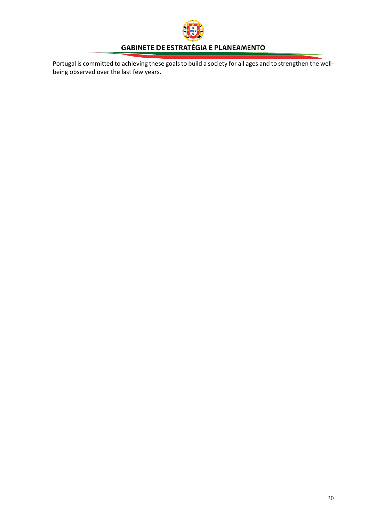<span id="page-30-0"></span>

Portugal is committed to achieving these goals to build a society for all ages and to strengthen the wellbeing observed over the last few years.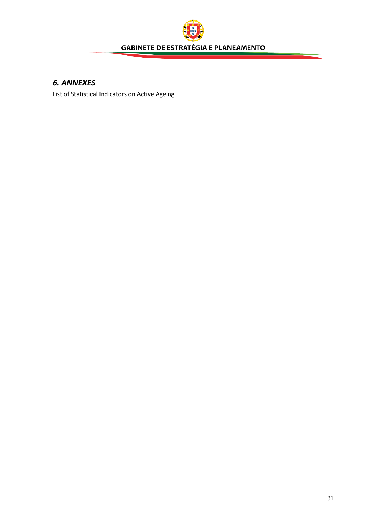

# *6. ANNEXES*

List of Statistical Indicators on Active Ageing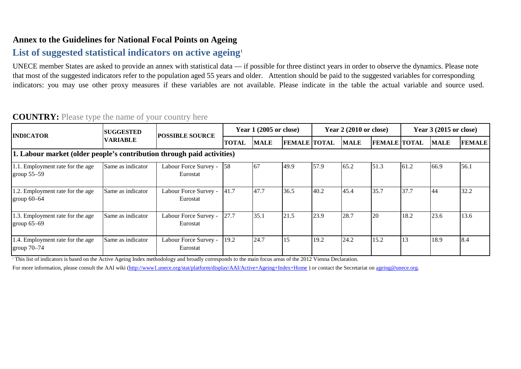# **Annex to the Guidelines for National Focal Points on Ageing**

# List of suggested statistical indicators on active ageing<sup>1</sup>

UNECE member States are asked to provide an annex with statistical data — if possible for three distinct years in order to observe the dynamics. Please note that most of the suggested indicators refer to the population aged 55 years and older. Attention should be paid to the suggested variables for corresponding indicators: you may use other proxy measures if these variables are not available. Please indicate in the table the actual variable and source used.

#### **TOTAL MALE FEMALE TOTAL MALE FEMALE TOTAL MALE FEMALE** 1.1. Employment rate for the age group 55–59 Same as indicator | Labour Force Survey - [58 | 67 | 49.9 | 57.9 | 65.2 | 51.3 | 61.2 | 66.9 | 56.1 1.2. Employment rate for the age group 60–64 Same as indicator | Labour Force Survey -  $\begin{vmatrix} 41.7 \\ 47.7 \end{vmatrix}$   $\begin{vmatrix} 36.5 \\ 36.5 \end{vmatrix}$   $\begin{vmatrix} 40.2 \\ 45.4 \end{vmatrix}$   $\begin{vmatrix} 35.7 \\ 35.7 \end{vmatrix}$   $\begin{vmatrix} 37.7 \\ 44 \end{vmatrix}$   $\begin{vmatrix} 32.2 \\ 32.2 \end{vmatrix}$ 1.3. Employment rate for the age group 65–69 Same as indicator | Labour Force Survey -  $\begin{bmatrix} 27.7 \\ 27.7 \end{bmatrix}$   $\begin{bmatrix} 35.1 \\ 21.5 \\ 23.9 \end{bmatrix}$   $\begin{bmatrix} 23.7 \\ 28.7 \end{bmatrix}$   $\begin{bmatrix} 20 \\ 20 \\ 18.2 \end{bmatrix}$   $\begin{bmatrix} 13.6 \\ 23.6 \end{bmatrix}$   $\begin{bmatrix} 13.6 \\ 23.6 \end{bmatrix}$ 1.4. Employment rate for the age group 70–74 Same as indicator | Labour Force Survey - 19.2 24.7 15 19.2 24.2 15.2 13 18.9 8.4 Eurostat Eurostat Eurostat **Year 3 (2015 or close) 1. Labour market (older people's contribution through paid activities)** Eurostat **INDICATOR SUGGESTED SUGGESTED POSSIBLE SOURCE Year 1 (2005 or close) Year 2 (2010 or close)**

# **COUNTRY:** Please type the name of your country here

<sup>1</sup> This list of indicators is based on the Active Ageing Index methodology and broadly corresponds to the main focus areas of the 2012 Vienna Declaration.

For more information, please consult the AAI wiki (http://www1.unece.org/stat/platform/display/AAI/Active+Ageing+Index+Home) or contact the Secretariat on ageing@unece.org.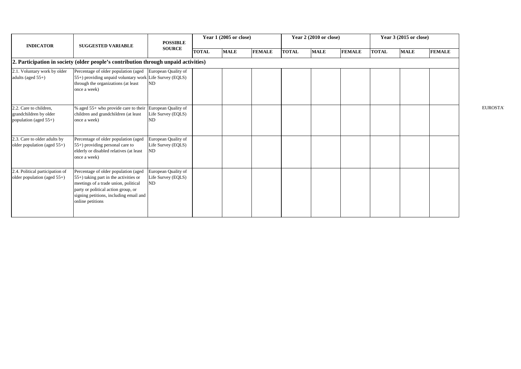| <b>INDICATOR</b>                                                          | <b>SUGGESTED VARIABLE</b>                                                                                                                                                                                                     | <b>POSSIBLE</b>                                 | Year 1 (2005 or close) |             |               | Year 2 (2010 or close) |             |               | Year 3 (2015 or close) |             |               |
|---------------------------------------------------------------------------|-------------------------------------------------------------------------------------------------------------------------------------------------------------------------------------------------------------------------------|-------------------------------------------------|------------------------|-------------|---------------|------------------------|-------------|---------------|------------------------|-------------|---------------|
|                                                                           |                                                                                                                                                                                                                               | <b>SOURCE</b>                                   | <b>TOTAL</b>           | <b>MALE</b> | <b>FEMALE</b> | <b>TOTAL</b>           | <b>MALE</b> | <b>FEMALE</b> | <b>TOTAL</b>           | <b>MALE</b> | <b>FEMALE</b> |
|                                                                           | 2. Participation in society (older people's contribution through unpaid activities)                                                                                                                                           |                                                 |                        |             |               |                        |             |               |                        |             |               |
| 2.1. Voluntary work by older<br>adults (aged $55+$ )                      | Percentage of older population (aged<br>55+) providing unpaid voluntary work Life Survey (EQLS)<br>through the organizations (at least<br>once a week)                                                                        | European Quality of<br>ND                       |                        |             |               |                        |             |               |                        |             |               |
| 2.2. Care to children,<br>grandchildren by older<br>population (aged 55+) | % aged 55+ who provide care to their<br>children and grandchildren (at least<br>once a week)                                                                                                                                  | European Quality of<br>Life Survey (EQLS)<br>ND |                        |             |               |                        |             |               |                        |             |               |
| 2.3. Care to older adults by<br>older population (aged $55+$ )            | Percentage of older population (aged<br>$55+$ ) providing personal care to<br>elderly or disabled relatives (at least<br>once a week)                                                                                         | European Quality of<br>Life Survey (EQLS)<br>ND |                        |             |               |                        |             |               |                        |             |               |
| 2.4. Political participation of<br>older population (aged $55+$ )         | Percentage of older population (aged<br>$(55+)$ taking part in the activities or<br>meetings of a trade union, political<br>party or political action group, or<br>signing petitions, including email and<br>online petitions | European Quality of<br>Life Survey (EQLS)<br>ND |                        |             |               |                        |             |               |                        |             |               |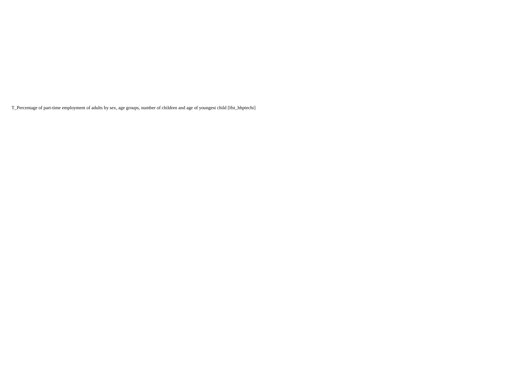T\_Percentage of part-time employment of adults by sex, age groups, number of children and age of youngest child [lfst\_hhptechi]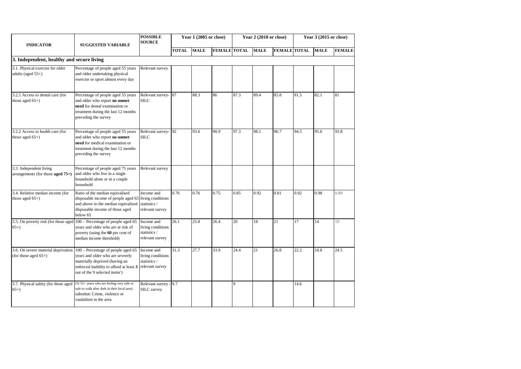| <b>INDICATOR</b>                                                | <b>SUGGESTED VARIABLE</b>                                                                                                                                                                                                             | <b>POSSIBLE</b><br>Year 1 (2005 or close)<br><b>SOURCE</b>         |              |             | Year 2 (2010 or close) |      |             | Year 3 (2015 or close) |      |             |               |
|-----------------------------------------------------------------|---------------------------------------------------------------------------------------------------------------------------------------------------------------------------------------------------------------------------------------|--------------------------------------------------------------------|--------------|-------------|------------------------|------|-------------|------------------------|------|-------------|---------------|
|                                                                 |                                                                                                                                                                                                                                       |                                                                    | <b>TOTAL</b> | <b>MALE</b> | <b>FEMALE TOTAL</b>    |      | <b>MALE</b> | <b>FEMALE TOTAL</b>    |      | <b>MALE</b> | <b>FEMALE</b> |
| 3. Independent, healthy and secure living                       |                                                                                                                                                                                                                                       |                                                                    |              |             |                        |      |             |                        |      |             |               |
| 3.1. Physical exercise for older<br>adults (aged 55+)           | Percentage of people aged 55 years<br>and older undertaking physical<br>exercise or sport almost every day                                                                                                                            | Relevant survey                                                    |              |             |                        |      |             |                        |      |             |               |
| 3.2.1 Access to dental care (for<br>those aged $65+$ )          | Percentage of people aged 55 years<br>and older who report no unmet<br>need for dental examination or<br>treatment during the last 12 months<br>preceding the survey                                                                  | Relevant survey- 87<br><b>SILC</b>                                 |              | 88.3        | 86                     | 87.3 | 89.4        | 85.8                   | 81.5 | 82.1        | 81            |
| 3.2.2 Access to health care (for<br>those aged $65+$ )          | Percentage of people aged 55 years<br>and older who report no unmet<br>need for medical examination or<br>treatment during the last 12 months<br>preceding the survey                                                                 | Relevant survey-92<br><b>SILC</b>                                  |              | 93.6        | 90.9                   | 97.3 | 98.1        | 96.7                   | 94.5 | 95.6        | 93.8          |
| 3.3. Independent living<br>arrangements (for those aged $75+$ ) | Percentage of people aged 75 years<br>and older who live in a single<br>household alone or in a couple<br>household                                                                                                                   | Relevant survey                                                    |              |             |                        |      |             |                        |      |             |               |
| 3.4. Relative median income (for<br>those aged $65+$ )          | Ratio of the median equivalised<br>disposable income of people aged 65 living conditions<br>and above to the median equivalised<br>disposable income of those aged<br>below 65                                                        | Income and<br>statistics /<br>relevant survey                      | 0.76         | 0.76        | 0.75                   | 0.85 | 0.92        | 0.81                   | 0.92 | 0.98        | 0.89          |
| 3.5. On poverty risk (for those aged<br>$65+)$                  | 100 - Percentage of people aged 65<br>years and older who are at risk of<br>poverty (using the 60 per cent of<br>median income threshold)                                                                                             | Income and<br>living conditions<br>statistics /<br>relevant survey | 26.1         | 25.8        | 26.4                   | 20   | 18          | 21                     | 17   | 14          | 19            |
| (for those aged $65+$ )                                         | 3.6. On severe material deprivation 100 – Percentage of people aged 65<br>years and older who are severely<br>materially deprived (having an<br>enforced inability to afford at least 3<br>out of the 9 selected items <sup>2</sup> ) | Income and<br>living conditions<br>statistics /<br>relevant survey | 31.3         | 27.7        | 33.9                   | 24.4 | 21          | 26.8                   | 22.2 | 18.8        | 24.5          |
| 3.7. Physical safety (for those aged<br>$65+)$                  | (% 55+ years who are feeling very safe or<br>safe to walk after dark in their local area)<br>substitut: Crime, violence or<br>vandalism in the area                                                                                   | Relevant survey - 9.7<br>SILC survey                               |              |             |                        | 9    |             |                        | 14.6 |             |               |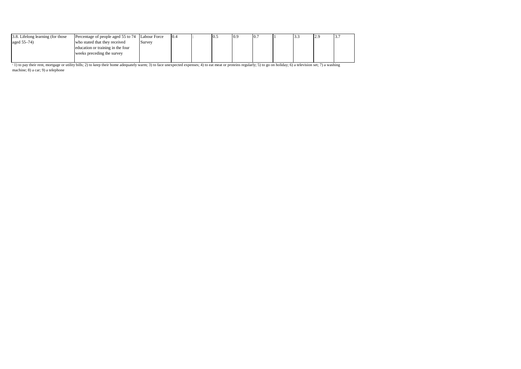| 3.8. Lifelong learning (for those | Percentage of people aged 55 to 74 Labour Force |        | 10.4 | 0.5 | 0.9 | 10. |  | $\overline{a}$ | 5. |
|-----------------------------------|-------------------------------------------------|--------|------|-----|-----|-----|--|----------------|----|
| aged 55–74)                       | who stated that they received                   | Survey |      |     |     |     |  |                |    |
|                                   | education or training in the four               |        |      |     |     |     |  |                |    |
|                                   | weeks preceding the survey                      |        |      |     |     |     |  |                |    |
|                                   |                                                 |        |      |     |     |     |  |                |    |

 $^{2}$  1) to pay their rent, mortgage or utility bills; 2) to keep their home adequately warm; 3) to face unexpected expenses; 4) to eat meat or proteins regularly; 5) to go on holiday; 6) a television set; 7) a washing machine; 8) a car; 9) a telephone